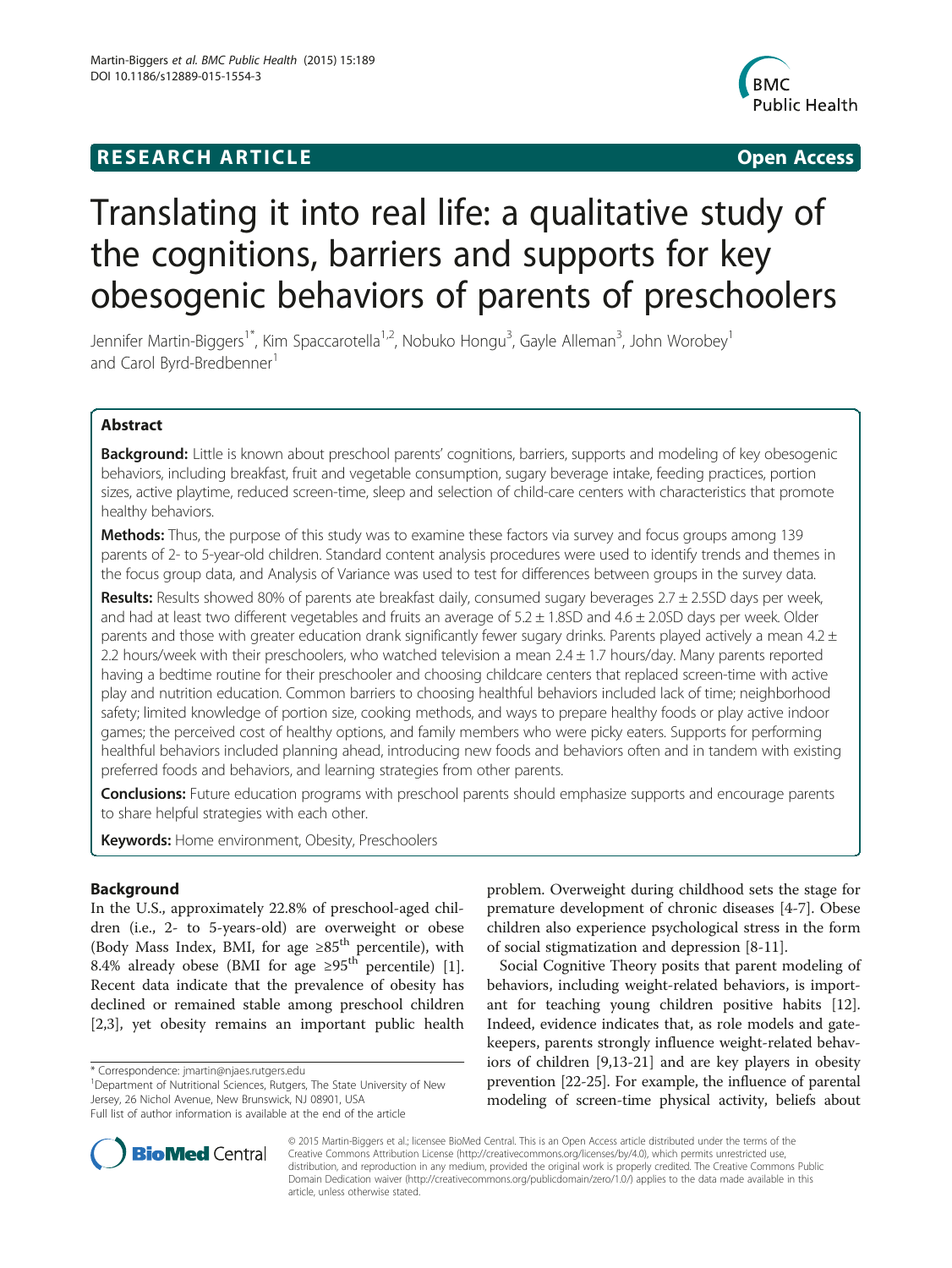# **RESEARCH ARTICLE Example 2018 12:00 Department of the CONNECTION CONNECTION CONNECTION CONNECTION**



# Translating it into real life: a qualitative study of the cognitions, barriers and supports for key obesogenic behaviors of parents of preschoolers

Jennifer Martin-Biggers<sup>1\*</sup>, Kim Spaccarotella<sup>1,2</sup>, Nobuko Hongu<sup>3</sup>, Gayle Alleman<sup>3</sup>, John Worobey<sup>1</sup> and Carol Byrd-Bredbenner<sup>1</sup>

# Abstract

Background: Little is known about preschool parents' cognitions, barriers, supports and modeling of key obesogenic behaviors, including breakfast, fruit and vegetable consumption, sugary beverage intake, feeding practices, portion sizes, active playtime, reduced screen-time, sleep and selection of child-care centers with characteristics that promote healthy behaviors.

Methods: Thus, the purpose of this study was to examine these factors via survey and focus groups among 139 parents of 2- to 5-year-old children. Standard content analysis procedures were used to identify trends and themes in the focus group data, and Analysis of Variance was used to test for differences between groups in the survey data.

Results: Results showed 80% of parents ate breakfast daily, consumed sugary beverages  $2.7 \pm 2.5$ SD days per week, and had at least two different vegetables and fruits an average of  $5.2 \pm 1.8$ SD and  $4.6 \pm 2.0$ SD days per week. Older parents and those with greater education drank significantly fewer sugary drinks. Parents played actively a mean 4.2  $\pm$ 2.2 hours/week with their preschoolers, who watched television a mean 2.4 ± 1.7 hours/day. Many parents reported having a bedtime routine for their preschooler and choosing childcare centers that replaced screen-time with active play and nutrition education. Common barriers to choosing healthful behaviors included lack of time; neighborhood safety; limited knowledge of portion size, cooking methods, and ways to prepare healthy foods or play active indoor games; the perceived cost of healthy options, and family members who were picky eaters. Supports for performing healthful behaviors included planning ahead, introducing new foods and behaviors often and in tandem with existing preferred foods and behaviors, and learning strategies from other parents.

**Conclusions:** Future education programs with preschool parents should emphasize supports and encourage parents to share helpful strategies with each other.

**Keywords:** Home environment, Obesity, Preschoolers

# Background

In the U.S., approximately 22.8% of preschool-aged children (i.e., 2- to 5-years-old) are overweight or obese (Body Mass Index, BMI, for age  $\geq 85^{\text{th}}$  percentile), with 8.4% already obese (BMI for age  $\geq 95$ <sup>th</sup> percentile) [\[1](#page-11-0)]. Recent data indicate that the prevalence of obesity has declined or remained stable among preschool children [[2,3\]](#page-11-0), yet obesity remains an important public health

<sup>1</sup>Department of Nutritional Sciences, Rutgers, The State University of New Jersey, 26 Nichol Avenue, New Brunswick, NJ 08901, USA Full list of author information is available at the end of the article

problem. Overweight during childhood sets the stage for premature development of chronic diseases [\[4](#page-11-0)-[7\]](#page-11-0). Obese children also experience psychological stress in the form of social stigmatization and depression [[8-11\]](#page-11-0).

Social Cognitive Theory posits that parent modeling of behaviors, including weight-related behaviors, is important for teaching young children positive habits [\[12](#page-11-0)]. Indeed, evidence indicates that, as role models and gatekeepers, parents strongly influence weight-related behaviors of children [\[9,13-21](#page-11-0)] and are key players in obesity prevention [[22-](#page-11-0)[25\]](#page-12-0). For example, the influence of parental modeling of screen-time physical activity, beliefs about



© 2015 Martin-Biggers et al.; licensee BioMed Central. This is an Open Access article distributed under the terms of the Creative Commons Attribution License (<http://creativecommons.org/licenses/by/4.0>), which permits unrestricted use, distribution, and reproduction in any medium, provided the original work is properly credited. The Creative Commons Public Domain Dedication waiver [\(http://creativecommons.org/publicdomain/zero/1.0/\)](http://creativecommons.org/publicdomain/zero/1.0/) applies to the data made available in this article, unless otherwise stated.

<sup>\*</sup> Correspondence: [jmartin@njaes.rutgers.edu](mailto:jmartin@njaes.rutgers.edu) <sup>1</sup>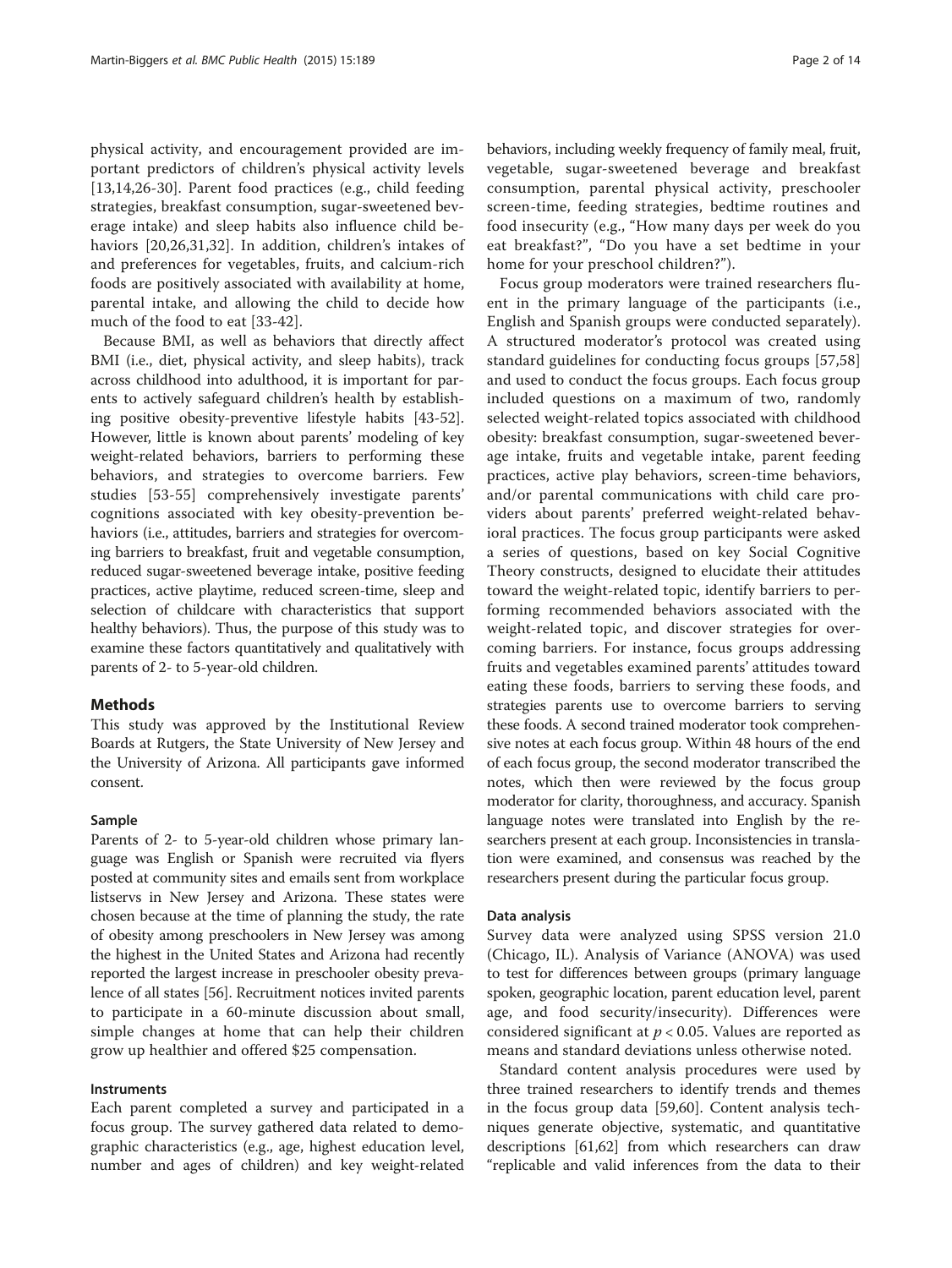physical activity, and encouragement provided are important predictors of children's physical activity levels [[13,14](#page-11-0)[,26-30](#page-12-0)]. Parent food practices (e.g., child feeding strategies, breakfast consumption, sugar-sweetened beverage intake) and sleep habits also influence child behaviors [\[20](#page-11-0)[,26](#page-12-0),[31,32](#page-12-0)]. In addition, children's intakes of and preferences for vegetables, fruits, and calcium-rich foods are positively associated with availability at home, parental intake, and allowing the child to decide how much of the food to eat [\[33](#page-12-0)-[42\]](#page-12-0).

Because BMI, as well as behaviors that directly affect BMI (i.e., diet, physical activity, and sleep habits), track across childhood into adulthood, it is important for parents to actively safeguard children's health by establishing positive obesity-preventive lifestyle habits [\[43-52](#page-12-0)]. However, little is known about parents' modeling of key weight-related behaviors, barriers to performing these behaviors, and strategies to overcome barriers. Few studies [[53-55\]](#page-12-0) comprehensively investigate parents' cognitions associated with key obesity-prevention behaviors (i.e., attitudes, barriers and strategies for overcoming barriers to breakfast, fruit and vegetable consumption, reduced sugar-sweetened beverage intake, positive feeding practices, active playtime, reduced screen-time, sleep and selection of childcare with characteristics that support healthy behaviors). Thus, the purpose of this study was to examine these factors quantitatively and qualitatively with parents of 2- to 5-year-old children.

#### Methods

This study was approved by the Institutional Review Boards at Rutgers, the State University of New Jersey and the University of Arizona. All participants gave informed consent.

#### Sample

Parents of 2- to 5-year-old children whose primary language was English or Spanish were recruited via flyers posted at community sites and emails sent from workplace listservs in New Jersey and Arizona. These states were chosen because at the time of planning the study, the rate of obesity among preschoolers in New Jersey was among the highest in the United States and Arizona had recently reported the largest increase in preschooler obesity prevalence of all states [\[56](#page-12-0)]. Recruitment notices invited parents to participate in a 60-minute discussion about small, simple changes at home that can help their children grow up healthier and offered \$25 compensation.

#### Instruments

Each parent completed a survey and participated in a focus group. The survey gathered data related to demographic characteristics (e.g., age, highest education level, number and ages of children) and key weight-related behaviors, including weekly frequency of family meal, fruit, vegetable, sugar-sweetened beverage and breakfast consumption, parental physical activity, preschooler screen-time, feeding strategies, bedtime routines and food insecurity (e.g., "How many days per week do you eat breakfast?", "Do you have a set bedtime in your home for your preschool children?").

Focus group moderators were trained researchers fluent in the primary language of the participants (i.e., English and Spanish groups were conducted separately). A structured moderator's protocol was created using standard guidelines for conducting focus groups [\[57,58](#page-12-0)] and used to conduct the focus groups. Each focus group included questions on a maximum of two, randomly selected weight-related topics associated with childhood obesity: breakfast consumption, sugar-sweetened beverage intake, fruits and vegetable intake, parent feeding practices, active play behaviors, screen-time behaviors, and/or parental communications with child care providers about parents' preferred weight-related behavioral practices. The focus group participants were asked a series of questions, based on key Social Cognitive Theory constructs, designed to elucidate their attitudes toward the weight-related topic, identify barriers to performing recommended behaviors associated with the weight-related topic, and discover strategies for overcoming barriers. For instance, focus groups addressing fruits and vegetables examined parents' attitudes toward eating these foods, barriers to serving these foods, and strategies parents use to overcome barriers to serving these foods. A second trained moderator took comprehensive notes at each focus group. Within 48 hours of the end of each focus group, the second moderator transcribed the notes, which then were reviewed by the focus group moderator for clarity, thoroughness, and accuracy. Spanish language notes were translated into English by the researchers present at each group. Inconsistencies in translation were examined, and consensus was reached by the researchers present during the particular focus group.

#### Data analysis

Survey data were analyzed using SPSS version 21.0 (Chicago, IL). Analysis of Variance (ANOVA) was used to test for differences between groups (primary language spoken, geographic location, parent education level, parent age, and food security/insecurity). Differences were considered significant at  $p < 0.05$ . Values are reported as means and standard deviations unless otherwise noted.

Standard content analysis procedures were used by three trained researchers to identify trends and themes in the focus group data [[59,60\]](#page-12-0). Content analysis techniques generate objective, systematic, and quantitative descriptions [\[61,62](#page-12-0)] from which researchers can draw "replicable and valid inferences from the data to their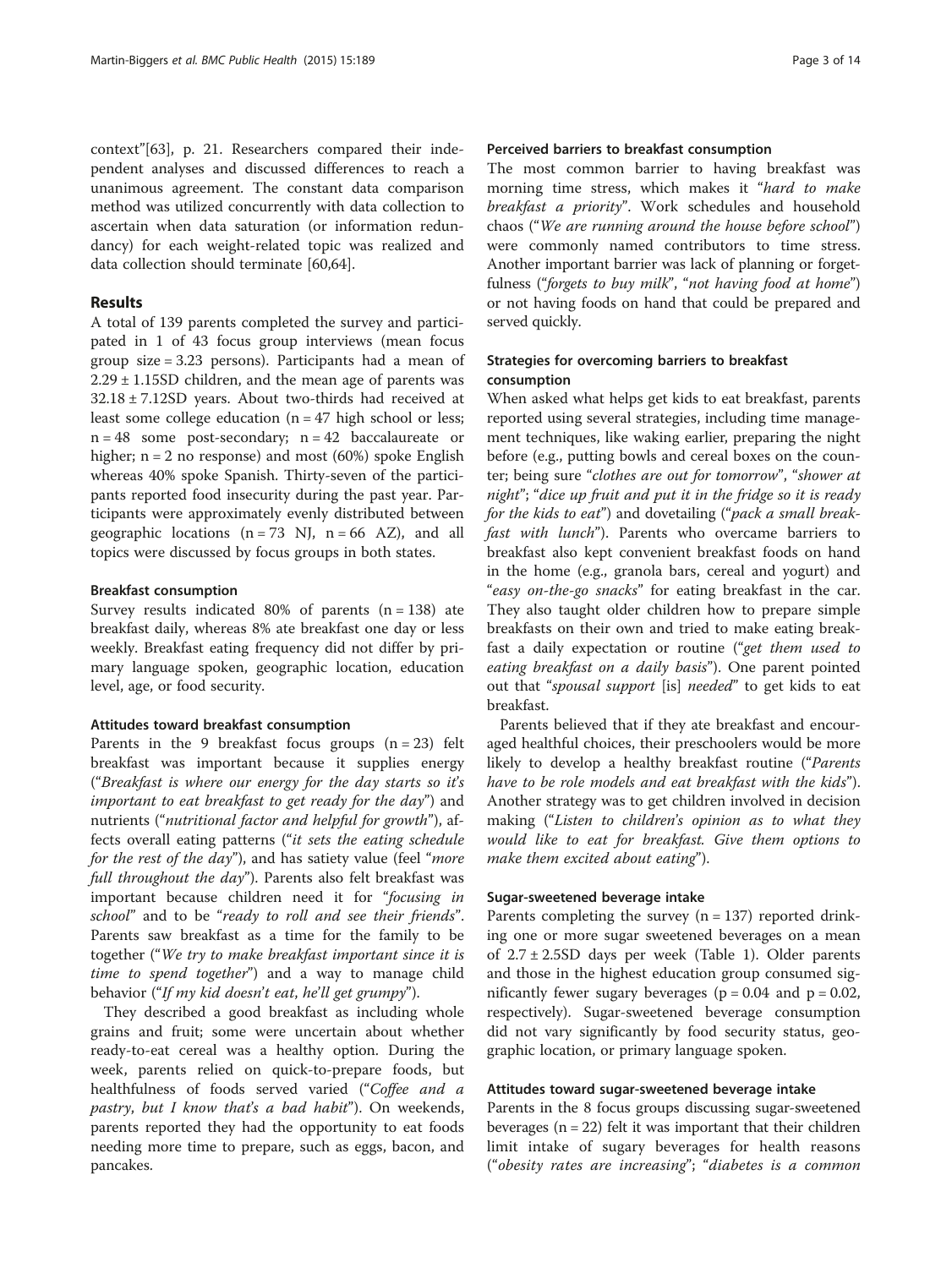context"[[63\]](#page-12-0), p. 21. Researchers compared their independent analyses and discussed differences to reach a unanimous agreement. The constant data comparison method was utilized concurrently with data collection to ascertain when data saturation (or information redundancy) for each weight-related topic was realized and data collection should terminate [\[60,64\]](#page-12-0).

#### **Results**

A total of 139 parents completed the survey and participated in 1 of 43 focus group interviews (mean focus group size = 3.23 persons). Participants had a mean of  $2.29 \pm 1.15$ SD children, and the mean age of parents was 32.18 ± 7.12SD years. About two-thirds had received at least some college education (n = 47 high school or less;  $n = 48$  some post-secondary;  $n = 42$  baccalaureate or higher;  $n = 2$  no response) and most (60%) spoke English whereas 40% spoke Spanish. Thirty-seven of the participants reported food insecurity during the past year. Participants were approximately evenly distributed between geographic locations  $(n = 73 \text{ N})$ ,  $n = 66 \text{ AZ}$ , and all topics were discussed by focus groups in both states.

#### Breakfast consumption

Survey results indicated  $80\%$  of parents (n = 138) ate breakfast daily, whereas 8% ate breakfast one day or less weekly. Breakfast eating frequency did not differ by primary language spoken, geographic location, education level, age, or food security.

#### Attitudes toward breakfast consumption

Parents in the 9 breakfast focus groups  $(n = 23)$  felt breakfast was important because it supplies energy ("Breakfast is where our energy for the day starts so it's important to eat breakfast to get ready for the day") and nutrients ("nutritional factor and helpful for growth"), affects overall eating patterns ("it sets the eating schedule for the rest of the day"), and has satiety value (feel "more full throughout the day"). Parents also felt breakfast was important because children need it for "focusing in school" and to be "ready to roll and see their friends". Parents saw breakfast as a time for the family to be together ("We try to make breakfast important since it is time to spend together") and a way to manage child behavior ("If my kid doesn't eat, he'll get grumpy").

They described a good breakfast as including whole grains and fruit; some were uncertain about whether ready-to-eat cereal was a healthy option. During the week, parents relied on quick-to-prepare foods, but healthfulness of foods served varied ("Coffee and a pastry, but I know that's a bad habit"). On weekends, parents reported they had the opportunity to eat foods needing more time to prepare, such as eggs, bacon, and pancakes.

#### Perceived barriers to breakfast consumption

The most common barrier to having breakfast was morning time stress, which makes it "hard to make breakfast a priority". Work schedules and household chaos ("We are running around the house before school") were commonly named contributors to time stress. Another important barrier was lack of planning or forgetfulness ("forgets to buy milk", "not having food at home") or not having foods on hand that could be prepared and served quickly.

## Strategies for overcoming barriers to breakfast consumption

When asked what helps get kids to eat breakfast, parents reported using several strategies, including time management techniques, like waking earlier, preparing the night before (e.g., putting bowls and cereal boxes on the counter; being sure "clothes are out for tomorrow", "shower at night"; "dice up fruit and put it in the fridge so it is ready for the kids to eat") and dovetailing ("pack a small breakfast with lunch"). Parents who overcame barriers to breakfast also kept convenient breakfast foods on hand in the home (e.g., granola bars, cereal and yogurt) and "easy on-the-go snacks" for eating breakfast in the car. They also taught older children how to prepare simple breakfasts on their own and tried to make eating breakfast a daily expectation or routine ("get them used to eating breakfast on a daily basis"). One parent pointed out that "*spousal support* [is] needed" to get kids to eat breakfast.

Parents believed that if they ate breakfast and encouraged healthful choices, their preschoolers would be more likely to develop a healthy breakfast routine ("Parents have to be role models and eat breakfast with the kids"). Another strategy was to get children involved in decision making ("Listen to children's opinion as to what they would like to eat for breakfast. Give them options to make them excited about eating").

#### Sugar-sweetened beverage intake

Parents completing the survey  $(n = 137)$  reported drinking one or more sugar sweetened beverages on a mean of  $2.7 \pm 2.5SD$  days per week (Table [1\)](#page-3-0). Older parents and those in the highest education group consumed significantly fewer sugary beverages ( $p = 0.04$  and  $p = 0.02$ , respectively). Sugar-sweetened beverage consumption did not vary significantly by food security status, geographic location, or primary language spoken.

#### Attitudes toward sugar-sweetened beverage intake

Parents in the 8 focus groups discussing sugar-sweetened beverages  $(n = 22)$  felt it was important that their children limit intake of sugary beverages for health reasons ("obesity rates are increasing"; "diabetes is a common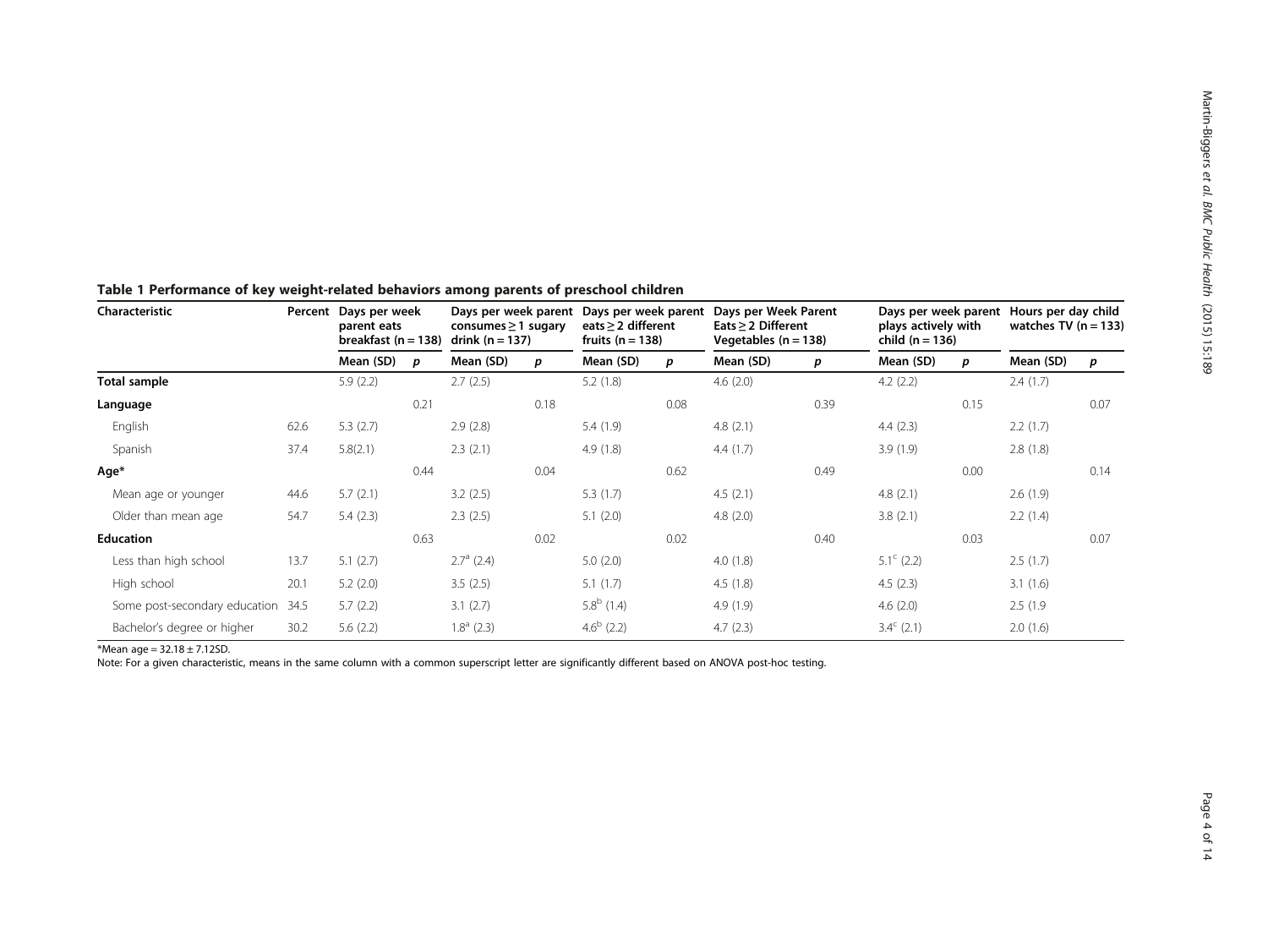| <b>Characteristic</b>              | Percent | Days per week<br>parent eats<br>breakfast ( $n = 138$ ) |      | Days per week parent<br>consumes $\geq$ 1 sugary<br>drink $(n = 137)$ |      | Days per week parent<br>eats > 2 different<br>fruits $(n = 138)$ |      | Days per Week Parent<br>Eats > 2 Different<br>Vegetables ( $n = 138$ ) |                  | Days per week parent<br>plays actively with<br>child $(n = 136)$ |      | Hours per day child<br>watches TV $(n = 133)$ |      |
|------------------------------------|---------|---------------------------------------------------------|------|-----------------------------------------------------------------------|------|------------------------------------------------------------------|------|------------------------------------------------------------------------|------------------|------------------------------------------------------------------|------|-----------------------------------------------|------|
|                                    |         | Mean (SD)                                               | p    | Mean (SD)                                                             | p    | Mean (SD)                                                        | p    | Mean (SD)                                                              | $\boldsymbol{p}$ | Mean (SD)                                                        | p    | Mean (SD)                                     | p    |
| <b>Total sample</b>                |         | 5.9(2.2)                                                |      | 2.7(2.5)                                                              |      | 5.2(1.8)                                                         |      | 4.6(2.0)                                                               |                  | 4.2(2.2)                                                         |      | 2.4(1.7)                                      |      |
| Language                           |         |                                                         | 0.21 |                                                                       | 0.18 |                                                                  | 0.08 |                                                                        | 0.39             |                                                                  | 0.15 |                                               | 0.07 |
| English                            | 62.6    | 5.3(2.7)                                                |      | 2.9(2.8)                                                              |      | 5.4(1.9)                                                         |      | 4.8(2.1)                                                               |                  | 4.4(2.3)                                                         |      | 2.2(1.7)                                      |      |
| Spanish                            | 37.4    | 5.8(2.1)                                                |      | 2.3(2.1)                                                              |      | 4.9(1.8)                                                         |      | 4.4(1.7)                                                               |                  | 3.9(1.9)                                                         |      | 2.8(1.8)                                      |      |
| Age*                               |         |                                                         | 0.44 |                                                                       | 0.04 |                                                                  | 0.62 |                                                                        | 0.49             |                                                                  | 0.00 |                                               | 0.14 |
| Mean age or younger                | 44.6    | 5.7(2.1)                                                |      | 3.2(2.5)                                                              |      | 5.3(1.7)                                                         |      | 4.5(2.1)                                                               |                  | 4.8(2.1)                                                         |      | 2.6(1.9)                                      |      |
| Older than mean age                | 54.7    | 5.4(2.3)                                                |      | 2.3(2.5)                                                              |      | 5.1(2.0)                                                         |      | 4.8(2.0)                                                               |                  | 3.8(2.1)                                                         |      | 2.2(1.4)                                      |      |
| <b>Education</b>                   |         |                                                         | 0.63 |                                                                       | 0.02 |                                                                  | 0.02 |                                                                        | 0.40             |                                                                  | 0.03 |                                               | 0.07 |
| Less than high school              | 13.7    | 5.1(2.7)                                                |      | $2.7a$ (2.4)                                                          |      | 5.0(2.0)                                                         |      | 4.0(1.8)                                                               |                  | $5.1^{\circ}$ (2.2)                                              |      | 2.5(1.7)                                      |      |
| High school                        | 20.1    | 5.2(2.0)                                                |      | 3.5(2.5)                                                              |      | 5.1(1.7)                                                         |      | 4.5(1.8)                                                               |                  | 4.5(2.3)                                                         |      | 3.1(1.6)                                      |      |
| Some post-secondary education 34.5 |         | 5.7(2.2)                                                |      | 3.1(2.7)                                                              |      | $5.8^b$ (1.4)                                                    |      | 4.9(1.9)                                                               |                  | 4.6(2.0)                                                         |      | 2.5(1.9)                                      |      |
| Bachelor's degree or higher        | 30.2    | 5.6(2.2)                                                |      | $1.8a$ (2.3)                                                          |      | $4.6^{b}$ (2.2)                                                  |      | 4.7(2.3)                                                               |                  | $3.4^{c}$ (2.1)                                                  |      | 2.0(1.6)                                      |      |

# <span id="page-3-0"></span>Table 1 Performance of key weight-related behaviors among parents of preschool children

\*Mean age =  $32.18 \pm 7.12$ SD.

Note: For a given characteristic, means in the same column with a common superscript letter are significantly different based on ANOVA post-hoc testing.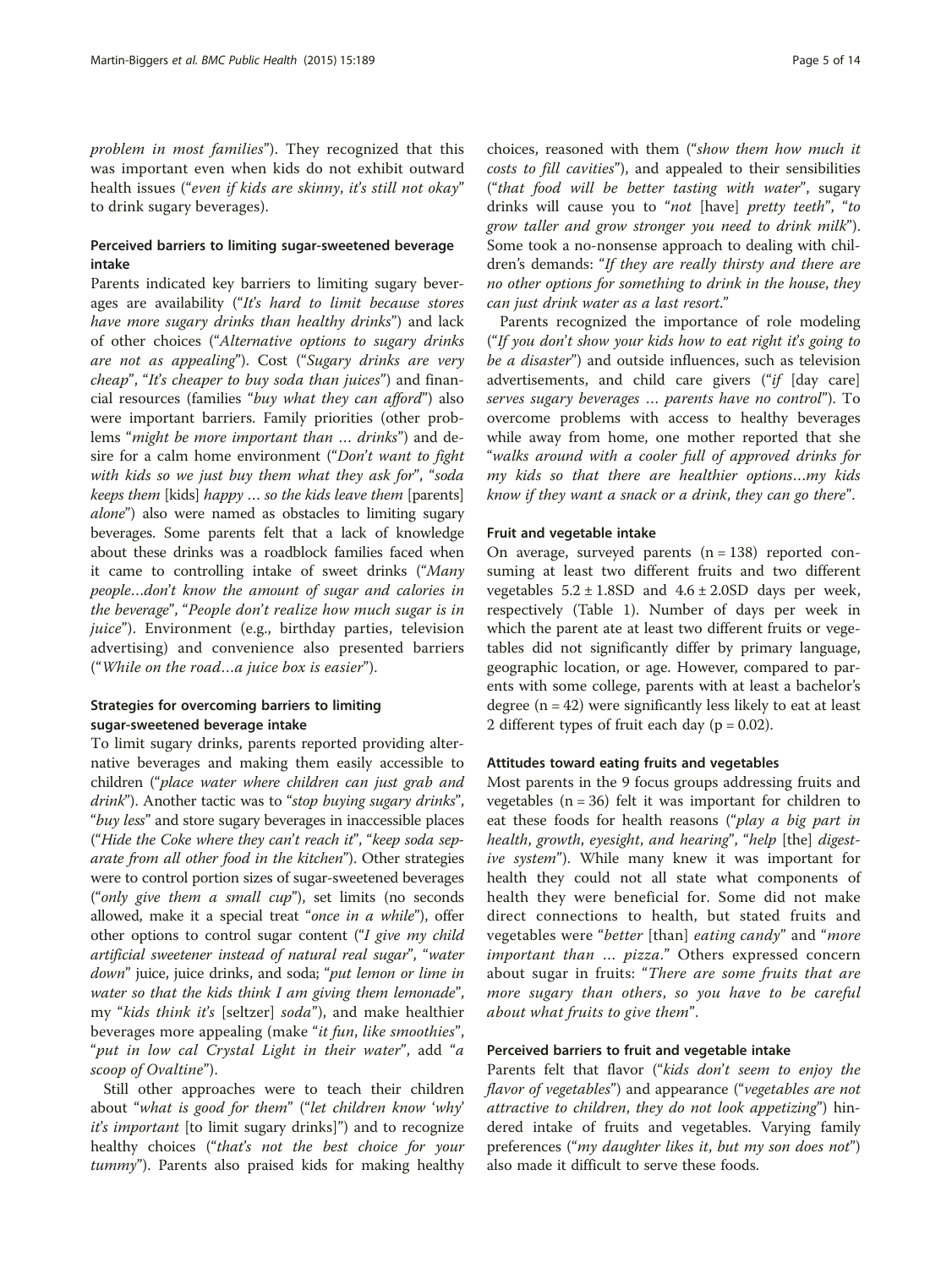problem in most families"). They recognized that this was important even when kids do not exhibit outward health issues ("even if kids are skinny, it's still not okay" to drink sugary beverages).

# Perceived barriers to limiting sugar-sweetened beverage intake

Parents indicated key barriers to limiting sugary beverages are availability ("It's hard to limit because stores have more sugary drinks than healthy drinks") and lack of other choices ("Alternative options to sugary drinks are not as appealing"). Cost ("Sugary drinks are very cheap", "It's cheaper to buy soda than juices") and financial resources (families "buy what they can afford") also were important barriers. Family priorities (other problems "might be more important than … drinks") and desire for a calm home environment ("Don't want to fight with kids so we just buy them what they ask for", "soda keeps them [kids] happy … so the kids leave them [parents] alone") also were named as obstacles to limiting sugary beverages. Some parents felt that a lack of knowledge about these drinks was a roadblock families faced when it came to controlling intake of sweet drinks ("Many people…don't know the amount of sugar and calories in the beverage", "People don't realize how much sugar is in juice"). Environment (e.g., birthday parties, television advertising) and convenience also presented barriers ("While on the road…a juice box is easier").

## Strategies for overcoming barriers to limiting sugar-sweetened beverage intake

To limit sugary drinks, parents reported providing alternative beverages and making them easily accessible to children ("place water where children can just grab and drink"). Another tactic was to "stop buying sugary drinks", "buy less" and store sugary beverages in inaccessible places ("Hide the Coke where they can't reach it", "keep soda separate from all other food in the kitchen"). Other strategies were to control portion sizes of sugar-sweetened beverages ("only give them a small cup"), set limits (no seconds allowed, make it a special treat "once in a while"), offer other options to control sugar content ("I give my child artificial sweetener instead of natural real sugar", "water down" juice, juice drinks, and soda; "*put lemon or lime in* water so that the kids think I am giving them lemonade", my "kids think it's [seltzer] soda"), and make healthier beverages more appealing (make "it fun, like smoothies", "put in low cal Crystal Light in their water", add "a scoop of Ovaltine").

Still other approaches were to teach their children about "what is good for them" ("let children know 'why' it's important [to limit sugary drinks]") and to recognize healthy choices ("that's not the best choice for your tummy"). Parents also praised kids for making healthy

choices, reasoned with them ("show them how much it costs to fill cavities"), and appealed to their sensibilities ("that food will be better tasting with water", sugary drinks will cause you to "not [have] pretty teeth", "to grow taller and grow stronger you need to drink milk"). Some took a no-nonsense approach to dealing with children's demands: "If they are really thirsty and there are no other options for something to drink in the house, they can just drink water as a last resort."

Parents recognized the importance of role modeling ("If you don't show your kids how to eat right it's going to be a disaster") and outside influences, such as television advertisements, and child care givers ("if [day care] serves sugary beverages … parents have no control"). To overcome problems with access to healthy beverages while away from home, one mother reported that she "walks around with a cooler full of approved drinks for my kids so that there are healthier options…my kids know if they want a snack or a drink, they can go there".

#### Fruit and vegetable intake

On average, surveyed parents  $(n = 138)$  reported consuming at least two different fruits and two different vegetables  $5.2 \pm 1.8SD$  and  $4.6 \pm 2.0SD$  days per week, respectively (Table [1\)](#page-3-0). Number of days per week in which the parent ate at least two different fruits or vegetables did not significantly differ by primary language, geographic location, or age. However, compared to parents with some college, parents with at least a bachelor's degree  $(n = 42)$  were significantly less likely to eat at least 2 different types of fruit each day  $(p = 0.02)$ .

#### Attitudes toward eating fruits and vegetables

Most parents in the 9 focus groups addressing fruits and vegetables  $(n = 36)$  felt it was important for children to eat these foods for health reasons ("play a big part in health, growth, eyesight, and hearing", "help [the] digestive system"). While many knew it was important for health they could not all state what components of health they were beneficial for. Some did not make direct connections to health, but stated fruits and vegetables were "better [than] eating candy" and "more important than ... pizza." Others expressed concern about sugar in fruits: "There are some fruits that are more sugary than others, so you have to be careful about what fruits to give them".

#### Perceived barriers to fruit and vegetable intake

Parents felt that flavor ("kids don't seem to enjoy the flavor of vegetables") and appearance ("vegetables are not attractive to children, they do not look appetizing") hindered intake of fruits and vegetables. Varying family preferences ("my daughter likes it, but my son does not") also made it difficult to serve these foods.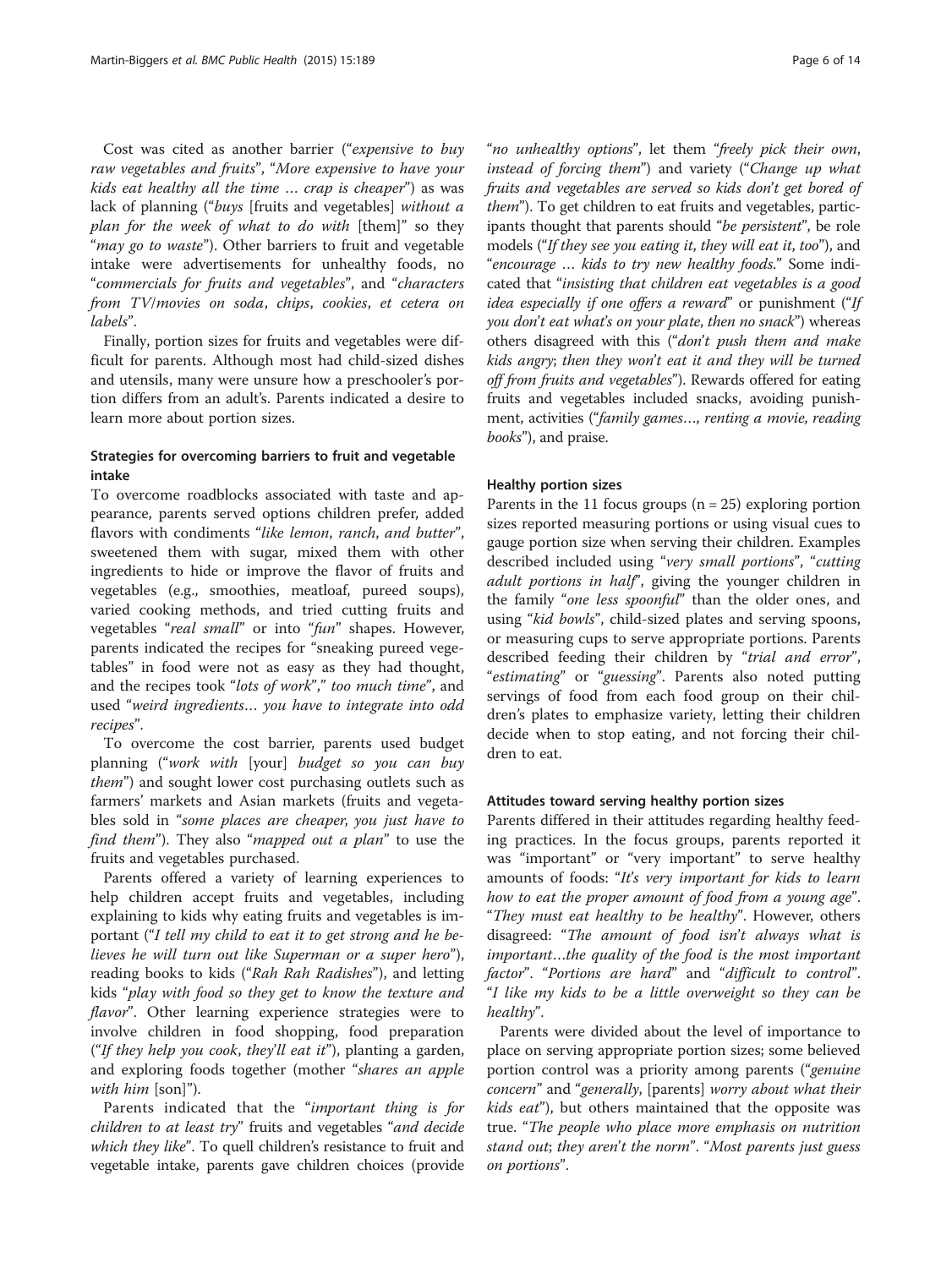Cost was cited as another barrier ("expensive to buy raw vegetables and fruits", "More expensive to have your kids eat healthy all the time … crap is cheaper") as was lack of planning ("buys [fruits and vegetables] without a plan for the week of what to do with [them]" so they "may go to waste"). Other barriers to fruit and vegetable intake were advertisements for unhealthy foods, no "commercials for fruits and vegetables", and "characters from TV/movies on soda, chips, cookies, et cetera on labels".

Finally, portion sizes for fruits and vegetables were difficult for parents. Although most had child-sized dishes and utensils, many were unsure how a preschooler's portion differs from an adult's. Parents indicated a desire to learn more about portion sizes.

# Strategies for overcoming barriers to fruit and vegetable intake

To overcome roadblocks associated with taste and appearance, parents served options children prefer, added flavors with condiments "like lemon, ranch, and butter", sweetened them with sugar, mixed them with other ingredients to hide or improve the flavor of fruits and vegetables (e.g., smoothies, meatloaf, pureed soups), varied cooking methods, and tried cutting fruits and vegetables "real small" or into "fun" shapes. However, parents indicated the recipes for "sneaking pureed vegetables" in food were not as easy as they had thought, and the recipes took "lots of work"," too much time", and used "weird ingredients… you have to integrate into odd recipes".

To overcome the cost barrier, parents used budget planning ("work with [your] budget so you can buy them") and sought lower cost purchasing outlets such as farmers' markets and Asian markets (fruits and vegetables sold in "some places are cheaper, you just have to find them"). They also "mapped out a plan" to use the fruits and vegetables purchased.

Parents offered a variety of learning experiences to help children accept fruits and vegetables, including explaining to kids why eating fruits and vegetables is important ("I tell my child to eat it to get strong and he believes he will turn out like Superman or a super hero"), reading books to kids ("Rah Rah Radishes"), and letting kids "play with food so they get to know the texture and flavor". Other learning experience strategies were to involve children in food shopping, food preparation ("If they help you cook, they'll eat it"), planting a garden, and exploring foods together (mother "shares an apple with him [son]").

Parents indicated that the "important thing is for children to at least try" fruits and vegetables "and decide which they like". To quell children's resistance to fruit and vegetable intake, parents gave children choices (provide

"no unhealthy options", let them "freely pick their own, instead of forcing them") and variety ("Change up what fruits and vegetables are served so kids don't get bored of them"). To get children to eat fruits and vegetables, participants thought that parents should "be persistent", be role models ("If they see you eating it, they will eat it, too"), and "encourage … kids to try new healthy foods." Some indicated that "insisting that children eat vegetables is a good idea especially if one offers a reward" or punishment ("If you don't eat what's on your plate, then no snack") whereas others disagreed with this ("don't push them and make kids angry; then they won't eat it and they will be turned off from fruits and vegetables"). Rewards offered for eating fruits and vegetables included snacks, avoiding punishment, activities ("family games…, renting a movie, reading books"), and praise.

#### Healthy portion sizes

Parents in the 11 focus groups ( $n = 25$ ) exploring portion sizes reported measuring portions or using visual cues to gauge portion size when serving their children. Examples described included using "very small portions", "cutting adult portions in half", giving the younger children in the family "one less spoonful" than the older ones, and using "kid bowls", child-sized plates and serving spoons, or measuring cups to serve appropriate portions. Parents described feeding their children by "trial and error", "estimating" or "guessing". Parents also noted putting servings of food from each food group on their children's plates to emphasize variety, letting their children decide when to stop eating, and not forcing their children to eat.

#### Attitudes toward serving healthy portion sizes

Parents differed in their attitudes regarding healthy feeding practices. In the focus groups, parents reported it was "important" or "very important" to serve healthy amounts of foods: "It's very important for kids to learn how to eat the proper amount of food from a young age". "They must eat healthy to be healthy". However, others disagreed: "The amount of food isn't always what is important…the quality of the food is the most important factor". "Portions are hard" and "difficult to control". "I like my kids to be a little overweight so they can be healthy".

Parents were divided about the level of importance to place on serving appropriate portion sizes; some believed portion control was a priority among parents ("genuine concern" and "generally, [parents] worry about what their *kids eat*"), but others maintained that the opposite was true. "The people who place more emphasis on nutrition stand out; they aren't the norm". "Most parents just guess on portions".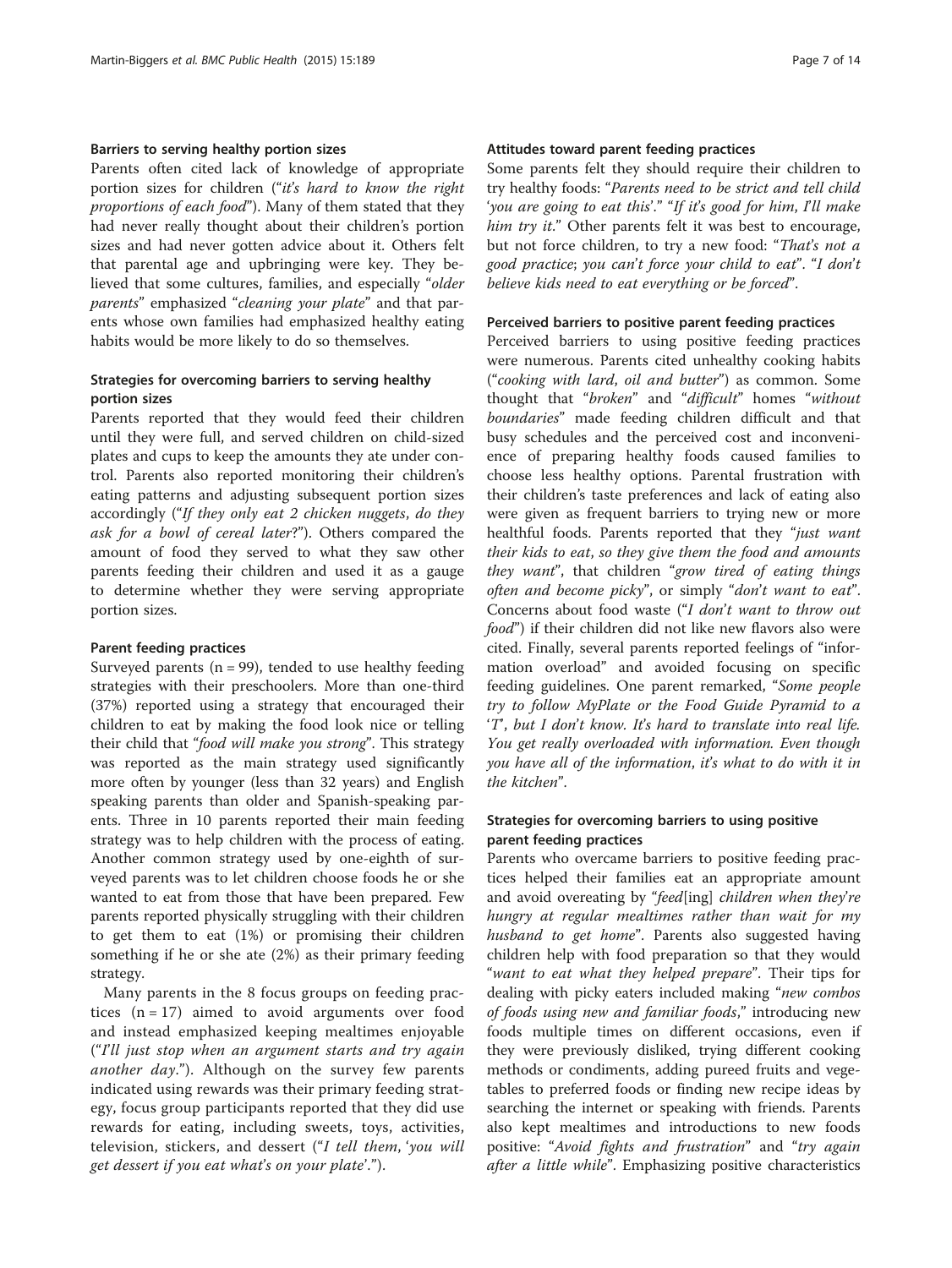#### Barriers to serving healthy portion sizes

Parents often cited lack of knowledge of appropriate portion sizes for children ("it's hard to know the right proportions of each food"). Many of them stated that they had never really thought about their children's portion sizes and had never gotten advice about it. Others felt that parental age and upbringing were key. They believed that some cultures, families, and especially "older parents" emphasized "cleaning your plate" and that parents whose own families had emphasized healthy eating habits would be more likely to do so themselves.

## Strategies for overcoming barriers to serving healthy portion sizes

Parents reported that they would feed their children until they were full, and served children on child-sized plates and cups to keep the amounts they ate under control. Parents also reported monitoring their children's eating patterns and adjusting subsequent portion sizes accordingly ("If they only eat 2 chicken nuggets, do they ask for a bowl of cereal later?"). Others compared the amount of food they served to what they saw other parents feeding their children and used it as a gauge to determine whether they were serving appropriate portion sizes.

#### Parent feeding practices

Surveyed parents ( $n = 99$ ), tended to use healthy feeding strategies with their preschoolers. More than one-third (37%) reported using a strategy that encouraged their children to eat by making the food look nice or telling their child that "food will make you strong". This strategy was reported as the main strategy used significantly more often by younger (less than 32 years) and English speaking parents than older and Spanish-speaking parents. Three in 10 parents reported their main feeding strategy was to help children with the process of eating. Another common strategy used by one-eighth of surveyed parents was to let children choose foods he or she wanted to eat from those that have been prepared. Few parents reported physically struggling with their children to get them to eat (1%) or promising their children something if he or she ate (2%) as their primary feeding strategy.

Many parents in the 8 focus groups on feeding practices  $(n = 17)$  aimed to avoid arguments over food and instead emphasized keeping mealtimes enjoyable ("I'll just stop when an argument starts and try again another day."). Although on the survey few parents indicated using rewards was their primary feeding strategy, focus group participants reported that they did use rewards for eating, including sweets, toys, activities, television, stickers, and dessert ("I tell them, 'you will get dessert if you eat what's on your plate'.").

#### Attitudes toward parent feeding practices

Some parents felt they should require their children to try healthy foods: "Parents need to be strict and tell child 'you are going to eat this'." "If it's good for him, I'll make him try it." Other parents felt it was best to encourage, but not force children, to try a new food: "That's not a good practice; you can't force your child to eat". "I don't believe kids need to eat everything or be forced".

## Perceived barriers to positive parent feeding practices

Perceived barriers to using positive feeding practices were numerous. Parents cited unhealthy cooking habits ("cooking with lard, oil and butter") as common. Some thought that "broken" and "difficult" homes "without boundaries" made feeding children difficult and that busy schedules and the perceived cost and inconvenience of preparing healthy foods caused families to choose less healthy options. Parental frustration with their children's taste preferences and lack of eating also were given as frequent barriers to trying new or more healthful foods. Parents reported that they "just want their kids to eat, so they give them the food and amounts they want", that children "grow tired of eating things often and become picky", or simply "don't want to eat". Concerns about food waste ("I don't want to throw out food") if their children did not like new flavors also were cited. Finally, several parents reported feelings of "information overload" and avoided focusing on specific feeding guidelines. One parent remarked, "Some people try to follow MyPlate or the Food Guide Pyramid to a 'T', but I don't know. It's hard to translate into real life. You get really overloaded with information. Even though you have all of the information, it's what to do with it in the kitchen".

## Strategies for overcoming barriers to using positive parent feeding practices

Parents who overcame barriers to positive feeding practices helped their families eat an appropriate amount and avoid overeating by "feed[ing] children when they're hungry at regular mealtimes rather than wait for my husband to get home". Parents also suggested having children help with food preparation so that they would "want to eat what they helped prepare". Their tips for dealing with picky eaters included making "new combos of foods using new and familiar foods," introducing new foods multiple times on different occasions, even if they were previously disliked, trying different cooking methods or condiments, adding pureed fruits and vegetables to preferred foods or finding new recipe ideas by searching the internet or speaking with friends. Parents also kept mealtimes and introductions to new foods positive: "Avoid fights and frustration" and "try again after a little while". Emphasizing positive characteristics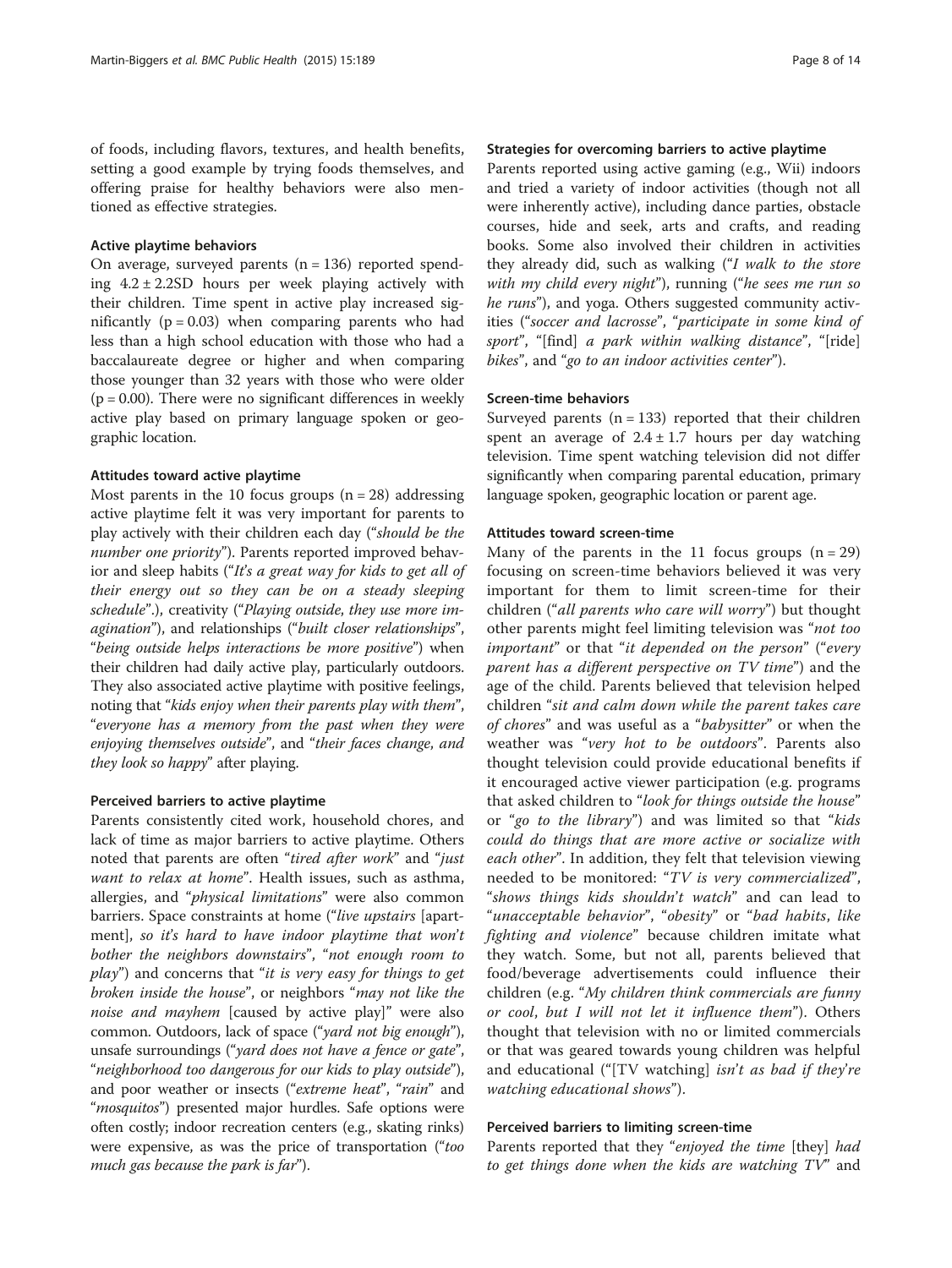of foods, including flavors, textures, and health benefits, setting a good example by trying foods themselves, and offering praise for healthy behaviors were also mentioned as effective strategies.

#### Active playtime behaviors

On average, surveyed parents  $(n = 136)$  reported spending  $4.2 \pm 2.2SD$  hours per week playing actively with their children. Time spent in active play increased significantly  $(p = 0.03)$  when comparing parents who had less than a high school education with those who had a baccalaureate degree or higher and when comparing those younger than 32 years with those who were older  $(p = 0.00)$ . There were no significant differences in weekly active play based on primary language spoken or geographic location.

#### Attitudes toward active playtime

Most parents in the 10 focus groups  $(n = 28)$  addressing active playtime felt it was very important for parents to play actively with their children each day ("should be the number one priority"). Parents reported improved behavior and sleep habits ("It's a great way for kids to get all of their energy out so they can be on a steady sleeping schedule".), creativity ("Playing outside, they use more imagination"), and relationships ("built closer relationships", "being outside helps interactions be more positive") when their children had daily active play, particularly outdoors. They also associated active playtime with positive feelings, noting that "kids enjoy when their parents play with them", "everyone has a memory from the past when they were enjoying themselves outside", and "their faces change, and they look so happy" after playing.

#### Perceived barriers to active playtime

Parents consistently cited work, household chores, and lack of time as major barriers to active playtime. Others noted that parents are often "tired after work" and "just want to relax at home". Health issues, such as asthma, allergies, and "physical limitations" were also common barriers. Space constraints at home *("live upstairs* [apartment], so it's hard to have indoor playtime that won't bother the neighbors downstairs", "not enough room to play") and concerns that "it is very easy for things to get broken inside the house", or neighbors "may not like the noise and mayhem [caused by active play]" were also common. Outdoors, lack of space ("yard not big enough"), unsafe surroundings ("yard does not have a fence or gate", "neighborhood too dangerous for our kids to play outside"), and poor weather or insects ("extreme heat", "rain" and "*mosquitos*") presented major hurdles. Safe options were often costly; indoor recreation centers (e.g., skating rinks) were expensive, as was the price of transportation ("too much gas because the park is far").

#### Strategies for overcoming barriers to active playtime

Parents reported using active gaming (e.g., Wii) indoors and tried a variety of indoor activities (though not all were inherently active), including dance parties, obstacle courses, hide and seek, arts and crafts, and reading books. Some also involved their children in activities they already did, such as walking ("I walk to the store with my child every night"), running ("he sees me run so he runs"), and yoga. Others suggested community activities ("soccer and lacrosse", "participate in some kind of sport", "[find] a park within walking distance", "[ride] bikes", and "go to an indoor activities center").

#### Screen-time behaviors

Surveyed parents  $(n = 133)$  reported that their children spent an average of  $2.4 \pm 1.7$  hours per day watching television. Time spent watching television did not differ significantly when comparing parental education, primary language spoken, geographic location or parent age.

#### Attitudes toward screen-time

Many of the parents in the 11 focus groups  $(n = 29)$ focusing on screen-time behaviors believed it was very important for them to limit screen-time for their children ("all parents who care will worry") but thought other parents might feel limiting television was "not too important" or that "it depended on the person" ("every parent has a different perspective on TV time") and the age of the child. Parents believed that television helped children "sit and calm down while the parent takes care of chores" and was useful as a "babysitter" or when the weather was "very hot to be outdoors". Parents also thought television could provide educational benefits if it encouraged active viewer participation (e.g. programs that asked children to "look for things outside the house" or "go to the library") and was limited so that "kids could do things that are more active or socialize with each other". In addition, they felt that television viewing needed to be monitored: "TV is very commercialized", "shows things kids shouldn't watch" and can lead to "unacceptable behavior", "obesity" or "bad habits, like fighting and violence" because children imitate what they watch. Some, but not all, parents believed that food/beverage advertisements could influence their children (e.g. "My children think commercials are funny or cool, but I will not let it influence them"). Others thought that television with no or limited commercials or that was geared towards young children was helpful and educational ("[TV watching] isn't as bad if they're watching educational shows").

#### Perceived barriers to limiting screen-time

Parents reported that they "enjoyed the time [they] had to get things done when the kids are watching TV" and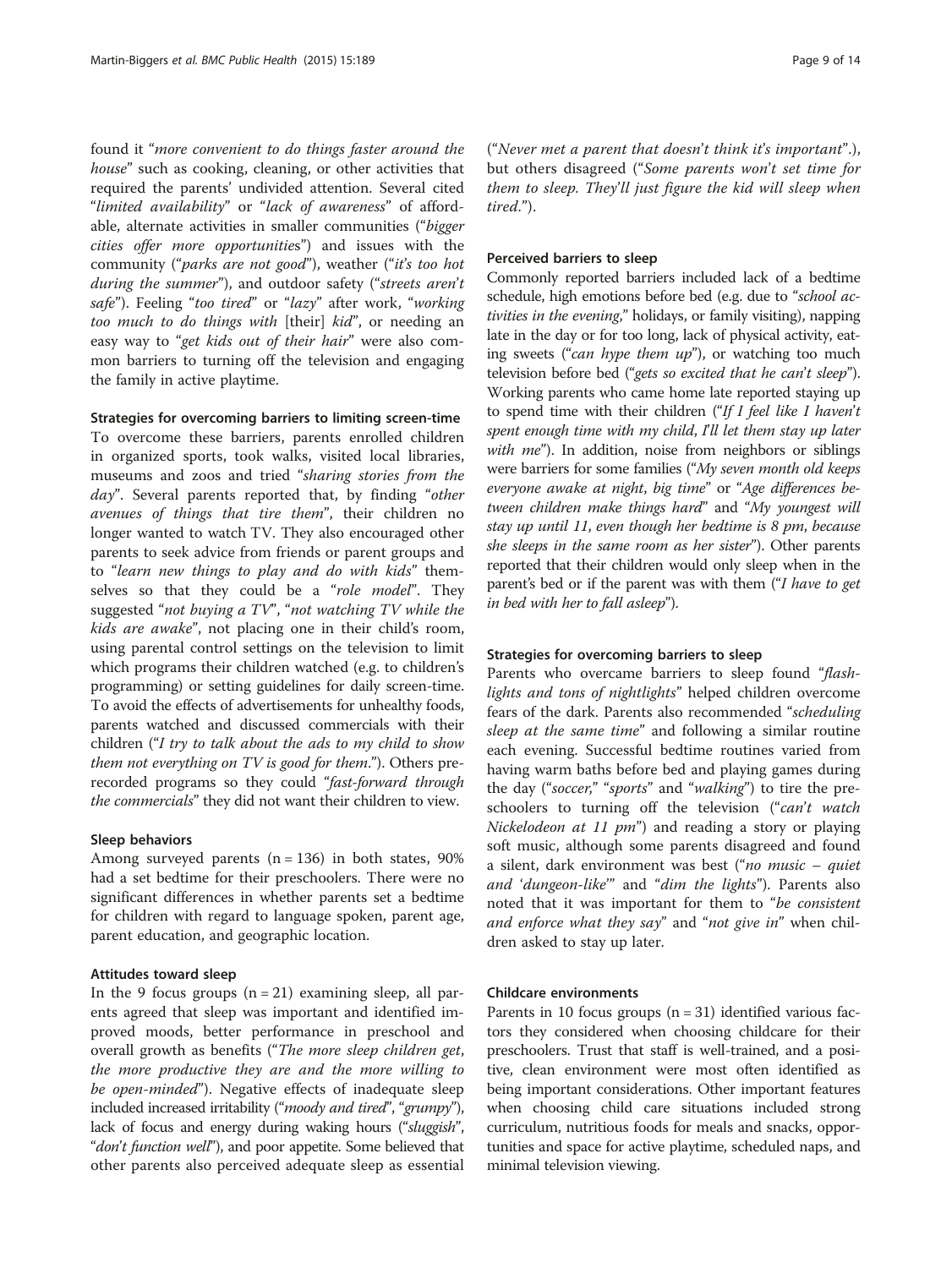found it "more convenient to do things faster around the house" such as cooking, cleaning, or other activities that required the parents' undivided attention. Several cited "limited availability" or "lack of awareness" of affordable, alternate activities in smaller communities ("bigger cities offer more opportunities") and issues with the community ("parks are not good"), weather ("it's too hot during the summer"), and outdoor safety ("streets aren't safe"). Feeling "too tired" or "lazy" after work, "working too much to do things with [their] kid", or needing an easy way to "get kids out of their hair" were also common barriers to turning off the television and engaging the family in active playtime.

#### Strategies for overcoming barriers to limiting screen-time

To overcome these barriers, parents enrolled children in organized sports, took walks, visited local libraries, museums and zoos and tried "sharing stories from the day". Several parents reported that, by finding "other avenues of things that tire them", their children no longer wanted to watch TV. They also encouraged other parents to seek advice from friends or parent groups and to "learn new things to play and do with kids" themselves so that they could be a "role model". They suggested "not buying a TV", "not watching TV while the kids are awake", not placing one in their child's room, using parental control settings on the television to limit which programs their children watched (e.g. to children's programming) or setting guidelines for daily screen-time. To avoid the effects of advertisements for unhealthy foods, parents watched and discussed commercials with their children ("I try to talk about the ads to my child to show them not everything on TV is good for them."). Others prerecorded programs so they could "fast-forward through the commercials" they did not want their children to view.

#### Sleep behaviors

Among surveyed parents  $(n = 136)$  in both states, 90% had a set bedtime for their preschoolers. There were no significant differences in whether parents set a bedtime for children with regard to language spoken, parent age, parent education, and geographic location.

#### Attitudes toward sleep

In the 9 focus groups  $(n = 21)$  examining sleep, all parents agreed that sleep was important and identified improved moods, better performance in preschool and overall growth as benefits ("The more sleep children get, the more productive they are and the more willing to be open-minded"). Negative effects of inadequate sleep included increased irritability ("moody and tired", "grumpy"), lack of focus and energy during waking hours ("sluggish", "don't function well"), and poor appetite. Some believed that other parents also perceived adequate sleep as essential ("Never met a parent that doesn't think it's important".), but others disagreed ("Some parents won't set time for them to sleep. They'll just figure the kid will sleep when tired.").

#### Perceived barriers to sleep

Commonly reported barriers included lack of a bedtime schedule, high emotions before bed (e.g. due to "school activities in the evening," holidays, or family visiting), napping late in the day or for too long, lack of physical activity, eating sweets ("can hype them  $up$ "), or watching too much television before bed ("gets so excited that he can't sleep"). Working parents who came home late reported staying up to spend time with their children ("If I feel like I haven't spent enough time with my child, I'll let them stay up later with me"). In addition, noise from neighbors or siblings were barriers for some families ("My seven month old keeps everyone awake at night, big time" or "Age differences between children make things hard" and "My youngest will stay up until 11, even though her bedtime is 8 pm, because she sleeps in the same room as her sister"). Other parents reported that their children would only sleep when in the parent's bed or if the parent was with them ("I have to get in bed with her to fall asleep").

#### Strategies for overcoming barriers to sleep

Parents who overcame barriers to sleep found "flashlights and tons of nightlights" helped children overcome fears of the dark. Parents also recommended "scheduling sleep at the same time" and following a similar routine each evening. Successful bedtime routines varied from having warm baths before bed and playing games during the day ("soccer," "sports" and "walking") to tire the preschoolers to turning off the television ("can't watch Nickelodeon at 11 pm") and reading a story or playing soft music, although some parents disagreed and found a silent, dark environment was best ("no music – quiet and 'dungeon-like'" and "dim the lights"). Parents also noted that it was important for them to "be consistent and enforce what they say" and "not give in" when children asked to stay up later.

#### Childcare environments

Parents in 10 focus groups  $(n = 31)$  identified various factors they considered when choosing childcare for their preschoolers. Trust that staff is well-trained, and a positive, clean environment were most often identified as being important considerations. Other important features when choosing child care situations included strong curriculum, nutritious foods for meals and snacks, opportunities and space for active playtime, scheduled naps, and minimal television viewing.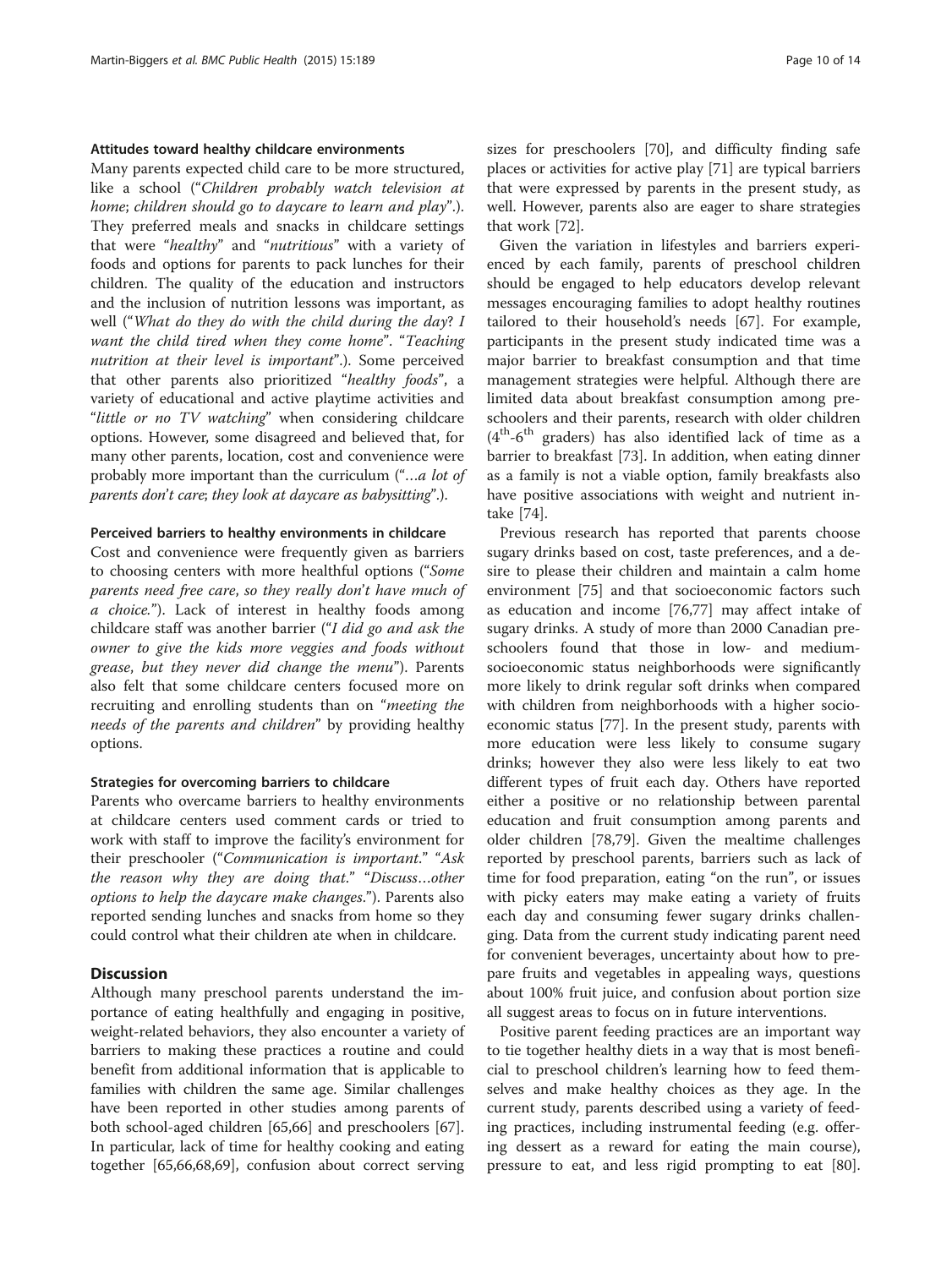#### Attitudes toward healthy childcare environments

Many parents expected child care to be more structured, like a school ("Children probably watch television at home; children should go to daycare to learn and play".). They preferred meals and snacks in childcare settings that were "healthy" and "nutritious" with a variety of foods and options for parents to pack lunches for their children. The quality of the education and instructors and the inclusion of nutrition lessons was important, as well ("What do they do with the child during the day? I want the child tired when they come home". "Teaching nutrition at their level is important".). Some perceived that other parents also prioritized "healthy foods", a variety of educational and active playtime activities and "little or no TV watching" when considering childcare options. However, some disagreed and believed that, for many other parents, location, cost and convenience were probably more important than the curriculum ("…a lot of parents don't care; they look at daycare as babysitting".).

#### Perceived barriers to healthy environments in childcare

Cost and convenience were frequently given as barriers to choosing centers with more healthful options ("Some parents need free care, so they really don't have much of a choice."). Lack of interest in healthy foods among childcare staff was another barrier ("I did go and ask the owner to give the kids more veggies and foods without grease, but they never did change the menu"). Parents also felt that some childcare centers focused more on recruiting and enrolling students than on "meeting the needs of the parents and children" by providing healthy options.

#### Strategies for overcoming barriers to childcare

Parents who overcame barriers to healthy environments at childcare centers used comment cards or tried to work with staff to improve the facility's environment for their preschooler ("Communication is important." "Ask the reason why they are doing that." "Discuss…other options to help the daycare make changes."). Parents also reported sending lunches and snacks from home so they could control what their children ate when in childcare.

## **Discussion**

Although many preschool parents understand the importance of eating healthfully and engaging in positive, weight-related behaviors, they also encounter a variety of barriers to making these practices a routine and could benefit from additional information that is applicable to families with children the same age. Similar challenges have been reported in other studies among parents of both school-aged children [[65,66\]](#page-12-0) and preschoolers [\[67](#page-12-0)]. In particular, lack of time for healthy cooking and eating together [[65](#page-12-0),[66](#page-12-0),[68](#page-12-0),[69](#page-12-0)], confusion about correct serving

sizes for preschoolers [\[70](#page-12-0)], and difficulty finding safe places or activities for active play [\[71](#page-12-0)] are typical barriers that were expressed by parents in the present study, as well. However, parents also are eager to share strategies that work [\[72](#page-12-0)].

Given the variation in lifestyles and barriers experienced by each family, parents of preschool children should be engaged to help educators develop relevant messages encouraging families to adopt healthy routines tailored to their household's needs [[67\]](#page-12-0). For example, participants in the present study indicated time was a major barrier to breakfast consumption and that time management strategies were helpful. Although there are limited data about breakfast consumption among preschoolers and their parents, research with older children  $(4<sup>th</sup>-6<sup>th</sup>$  graders) has also identified lack of time as a barrier to breakfast [[73\]](#page-12-0). In addition, when eating dinner as a family is not a viable option, family breakfasts also have positive associations with weight and nutrient intake [[74\]](#page-13-0).

Previous research has reported that parents choose sugary drinks based on cost, taste preferences, and a desire to please their children and maintain a calm home environment [[75\]](#page-13-0) and that socioeconomic factors such as education and income [\[76,77](#page-13-0)] may affect intake of sugary drinks. A study of more than 2000 Canadian preschoolers found that those in low- and mediumsocioeconomic status neighborhoods were significantly more likely to drink regular soft drinks when compared with children from neighborhoods with a higher socioeconomic status [\[77](#page-13-0)]. In the present study, parents with more education were less likely to consume sugary drinks; however they also were less likely to eat two different types of fruit each day. Others have reported either a positive or no relationship between parental education and fruit consumption among parents and older children [\[78,79\]](#page-13-0). Given the mealtime challenges reported by preschool parents, barriers such as lack of time for food preparation, eating "on the run", or issues with picky eaters may make eating a variety of fruits each day and consuming fewer sugary drinks challenging. Data from the current study indicating parent need for convenient beverages, uncertainty about how to prepare fruits and vegetables in appealing ways, questions about 100% fruit juice, and confusion about portion size all suggest areas to focus on in future interventions.

Positive parent feeding practices are an important way to tie together healthy diets in a way that is most beneficial to preschool children's learning how to feed themselves and make healthy choices as they age. In the current study, parents described using a variety of feeding practices, including instrumental feeding (e.g. offering dessert as a reward for eating the main course), pressure to eat, and less rigid prompting to eat [\[80](#page-13-0)].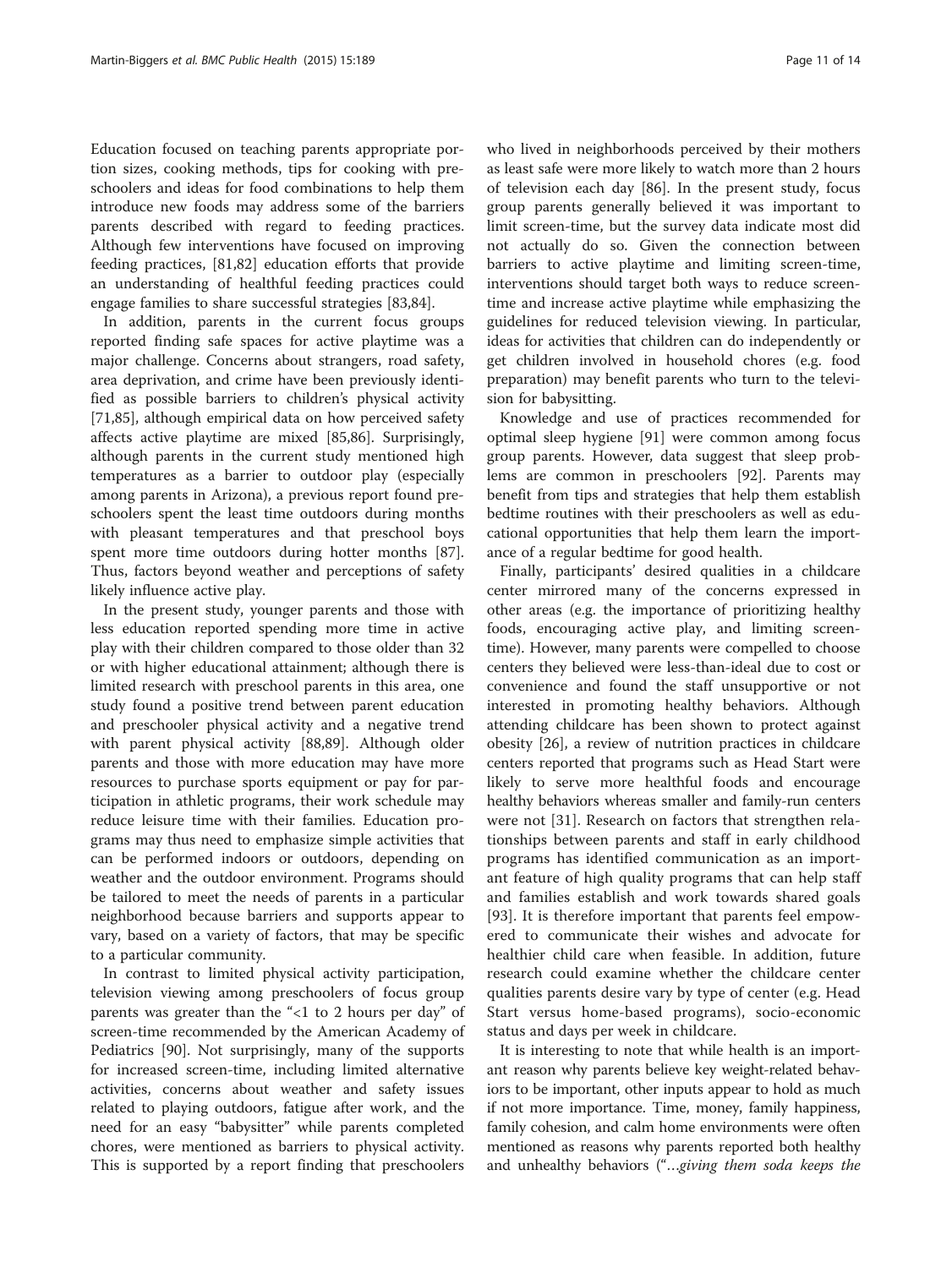Education focused on teaching parents appropriate portion sizes, cooking methods, tips for cooking with preschoolers and ideas for food combinations to help them introduce new foods may address some of the barriers parents described with regard to feeding practices. Although few interventions have focused on improving feeding practices, [\[81,82\]](#page-13-0) education efforts that provide an understanding of healthful feeding practices could engage families to share successful strategies [\[83,84](#page-13-0)].

In addition, parents in the current focus groups reported finding safe spaces for active playtime was a major challenge. Concerns about strangers, road safety, area deprivation, and crime have been previously identified as possible barriers to children's physical activity [[71,](#page-12-0)[85\]](#page-13-0), although empirical data on how perceived safety affects active playtime are mixed [\[85,86](#page-13-0)]. Surprisingly, although parents in the current study mentioned high temperatures as a barrier to outdoor play (especially among parents in Arizona), a previous report found preschoolers spent the least time outdoors during months with pleasant temperatures and that preschool boys spent more time outdoors during hotter months [\[87](#page-13-0)]. Thus, factors beyond weather and perceptions of safety likely influence active play.

In the present study, younger parents and those with less education reported spending more time in active play with their children compared to those older than 32 or with higher educational attainment; although there is limited research with preschool parents in this area, one study found a positive trend between parent education and preschooler physical activity and a negative trend with parent physical activity [\[88,89](#page-13-0)]. Although older parents and those with more education may have more resources to purchase sports equipment or pay for participation in athletic programs, their work schedule may reduce leisure time with their families. Education programs may thus need to emphasize simple activities that can be performed indoors or outdoors, depending on weather and the outdoor environment. Programs should be tailored to meet the needs of parents in a particular neighborhood because barriers and supports appear to vary, based on a variety of factors, that may be specific to a particular community.

In contrast to limited physical activity participation, television viewing among preschoolers of focus group parents was greater than the "<1 to 2 hours per day" of screen-time recommended by the American Academy of Pediatrics [\[90\]](#page-13-0). Not surprisingly, many of the supports for increased screen-time, including limited alternative activities, concerns about weather and safety issues related to playing outdoors, fatigue after work, and the need for an easy "babysitter" while parents completed chores, were mentioned as barriers to physical activity. This is supported by a report finding that preschoolers

who lived in neighborhoods perceived by their mothers as least safe were more likely to watch more than 2 hours of television each day [\[86](#page-13-0)]. In the present study, focus group parents generally believed it was important to limit screen-time, but the survey data indicate most did not actually do so. Given the connection between barriers to active playtime and limiting screen-time, interventions should target both ways to reduce screentime and increase active playtime while emphasizing the guidelines for reduced television viewing. In particular, ideas for activities that children can do independently or get children involved in household chores (e.g. food preparation) may benefit parents who turn to the television for babysitting.

Knowledge and use of practices recommended for optimal sleep hygiene [\[91](#page-13-0)] were common among focus group parents. However, data suggest that sleep problems are common in preschoolers [\[92](#page-13-0)]. Parents may benefit from tips and strategies that help them establish bedtime routines with their preschoolers as well as educational opportunities that help them learn the importance of a regular bedtime for good health.

Finally, participants' desired qualities in a childcare center mirrored many of the concerns expressed in other areas (e.g. the importance of prioritizing healthy foods, encouraging active play, and limiting screentime). However, many parents were compelled to choose centers they believed were less-than-ideal due to cost or convenience and found the staff unsupportive or not interested in promoting healthy behaviors. Although attending childcare has been shown to protect against obesity [\[26](#page-12-0)], a review of nutrition practices in childcare centers reported that programs such as Head Start were likely to serve more healthful foods and encourage healthy behaviors whereas smaller and family-run centers were not [[31](#page-12-0)]. Research on factors that strengthen relationships between parents and staff in early childhood programs has identified communication as an important feature of high quality programs that can help staff and families establish and work towards shared goals [[93\]](#page-13-0). It is therefore important that parents feel empowered to communicate their wishes and advocate for healthier child care when feasible. In addition, future research could examine whether the childcare center qualities parents desire vary by type of center (e.g. Head Start versus home-based programs), socio-economic status and days per week in childcare.

It is interesting to note that while health is an important reason why parents believe key weight-related behaviors to be important, other inputs appear to hold as much if not more importance. Time, money, family happiness, family cohesion, and calm home environments were often mentioned as reasons why parents reported both healthy and unhealthy behaviors ("...giving them soda keeps the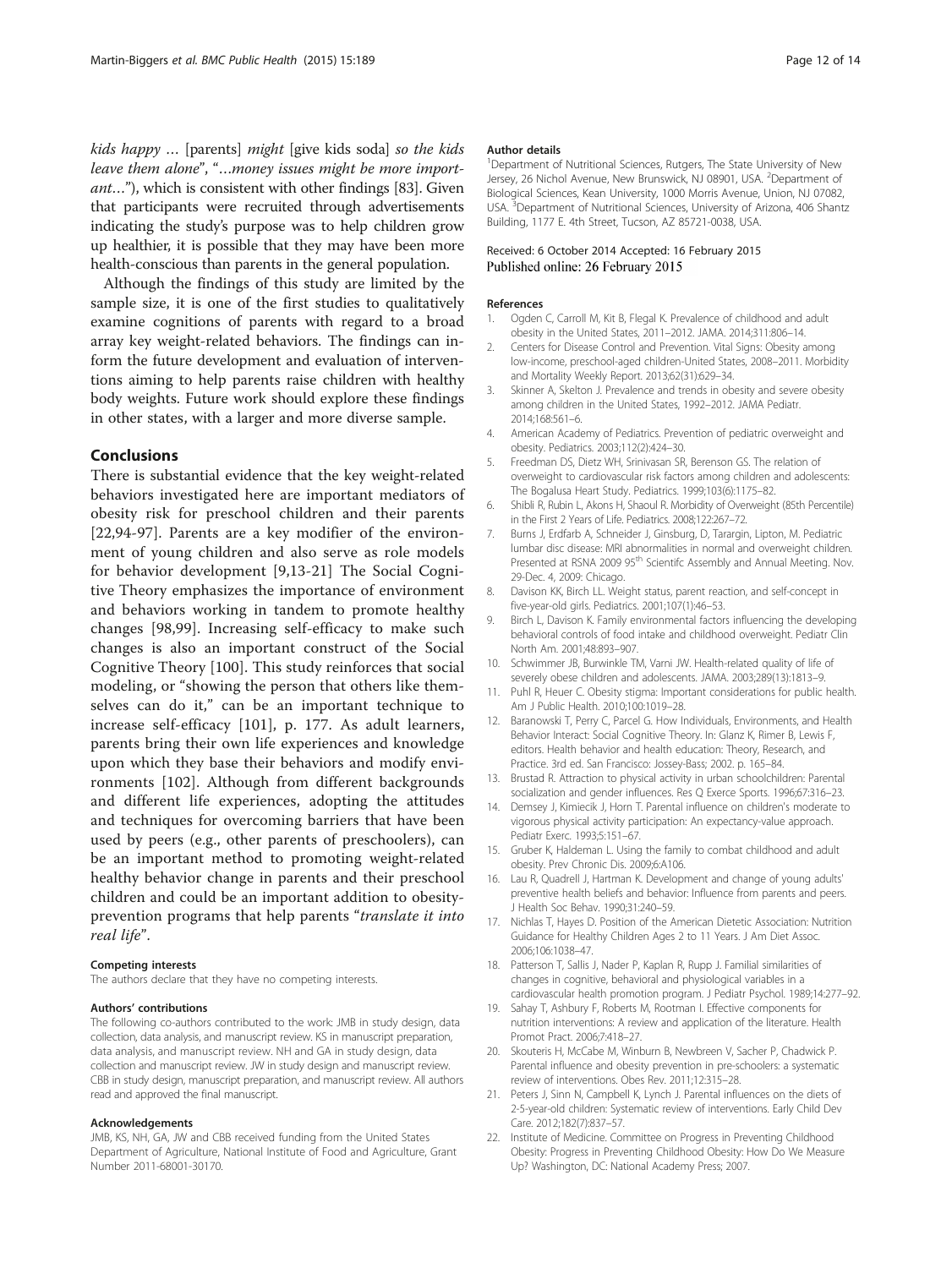<span id="page-11-0"></span>kids happy … [parents] might [give kids soda] so the kids leave them alone", "…money issues might be more important…"), which is consistent with other findings [\[83](#page-13-0)]. Given that participants were recruited through advertisements indicating the study's purpose was to help children grow up healthier, it is possible that they may have been more health-conscious than parents in the general population.

Although the findings of this study are limited by the sample size, it is one of the first studies to qualitatively examine cognitions of parents with regard to a broad array key weight-related behaviors. The findings can inform the future development and evaluation of interventions aiming to help parents raise children with healthy body weights. Future work should explore these findings in other states, with a larger and more diverse sample.

#### Conclusions

There is substantial evidence that the key weight-related behaviors investigated here are important mediators of obesity risk for preschool children and their parents [22[,94](#page-13-0)-[97\]](#page-13-0). Parents are a key modifier of the environment of young children and also serve as role models for behavior development [9,13-21] The Social Cognitive Theory emphasizes the importance of environment and behaviors working in tandem to promote healthy changes [[98,99](#page-13-0)]. Increasing self-efficacy to make such changes is also an important construct of the Social Cognitive Theory [[100\]](#page-13-0). This study reinforces that social modeling, or "showing the person that others like themselves can do it," can be an important technique to increase self-efficacy [[101\]](#page-13-0), p. 177. As adult learners, parents bring their own life experiences and knowledge upon which they base their behaviors and modify environments [\[102](#page-13-0)]. Although from different backgrounds and different life experiences, adopting the attitudes and techniques for overcoming barriers that have been used by peers (e.g., other parents of preschoolers), can be an important method to promoting weight-related healthy behavior change in parents and their preschool children and could be an important addition to obesityprevention programs that help parents "translate it into real life".

#### Competing interests

The authors declare that they have no competing interests.

#### Authors' contributions

The following co-authors contributed to the work: JMB in study design, data collection, data analysis, and manuscript review. KS in manuscript preparation, data analysis, and manuscript review. NH and GA in study design, data collection and manuscript review. JW in study design and manuscript review. CBB in study design, manuscript preparation, and manuscript review. All authors read and approved the final manuscript.

#### Acknowledgements

JMB, KS, NH, GA, JW and CBB received funding from the United States Department of Agriculture, National Institute of Food and Agriculture, Grant Number 2011-68001-30170.

#### Author details

<sup>1</sup>Department of Nutritional Sciences, Rutgers, The State University of New Jersey, 26 Nichol Avenue, New Brunswick, NJ 08901, USA. <sup>2</sup>Department of Biological Sciences, Kean University, 1000 Morris Avenue, Union, NJ 07082, USA.<sup>3</sup> Department of Nutritional Sciences, University of Arizona, 406 Shantz Building, 1177 E. 4th Street, Tucson, AZ 85721-0038, USA.

#### Received: 6 October 2014 Accepted: 16 February 2015 Published online: 26 February 2015

#### References

- 1. Ogden C, Carroll M, Kit B, Flegal K. Prevalence of childhood and adult obesity in the United States, 2011–2012. JAMA. 2014;311:806–14.
- 2. Centers for Disease Control and Prevention. Vital Signs: Obesity among low-income, preschool-aged children-United States, 2008–2011. Morbidity and Mortality Weekly Report. 2013;62(31):629–34.
- 3. Skinner A, Skelton J. Prevalence and trends in obesity and severe obesity among children in the United States, 1992–2012. JAMA Pediatr. 2014;168:561–6.
- 4. American Academy of Pediatrics. Prevention of pediatric overweight and obesity. Pediatrics. 2003;112(2):424–30.
- 5. Freedman DS, Dietz WH, Srinivasan SR, Berenson GS. The relation of overweight to cardiovascular risk factors among children and adolescents: The Bogalusa Heart Study. Pediatrics. 1999;103(6):1175–82.
- 6. Shibli R, Rubin L, Akons H, Shaoul R. Morbidity of Overweight (85th Percentile) in the First 2 Years of Life. Pediatrics. 2008;122:267–72.
- 7. Burns J, Erdfarb A, Schneider J, Ginsburg, D, Tarargin, Lipton, M. Pediatric lumbar disc disease: MRI abnormalities in normal and overweight children. Presented at RSNA 2009 95<sup>th</sup> Scientifc Assembly and Annual Meeting. Nov. 29-Dec. 4, 2009: Chicago.
- 8. Davison KK, Birch LL. Weight status, parent reaction, and self-concept in five-year-old girls. Pediatrics. 2001;107(1):46–53.
- 9. Birch L, Davison K. Family environmental factors influencing the developing behavioral controls of food intake and childhood overweight. Pediatr Clin North Am. 2001;48:893–907.
- 10. Schwimmer JB, Burwinkle TM, Varni JW. Health-related quality of life of severely obese children and adolescents. JAMA. 2003;289(13):1813–9.
- 11. Puhl R, Heuer C. Obesity stigma: Important considerations for public health. Am J Public Health. 2010;100:1019–28.
- 12. Baranowski T, Perry C, Parcel G. How Individuals, Environments, and Health Behavior Interact: Social Cognitive Theory. In: Glanz K, Rimer B, Lewis F, editors. Health behavior and health education: Theory, Research, and Practice. 3rd ed. San Francisco: Jossey-Bass; 2002. p. 165–84.
- 13. Brustad R. Attraction to physical activity in urban schoolchildren: Parental socialization and gender influences. Res Q Exerce Sports. 1996;67:316–23.
- 14. Demsey J, Kimiecik J, Horn T. Parental influence on children's moderate to vigorous physical activity participation: An expectancy-value approach. Pediatr Exerc. 1993;5:151–67.
- 15. Gruber K, Haldeman L. Using the family to combat childhood and adult obesity. Prev Chronic Dis. 2009;6:A106.
- 16. Lau R, Quadrell J, Hartman K. Development and change of young adults' preventive health beliefs and behavior: Influence from parents and peers. J Health Soc Behav. 1990;31:240–59.
- 17. Nichlas T, Hayes D. Position of the American Dietetic Association: Nutrition Guidance for Healthy Children Ages 2 to 11 Years. J Am Diet Assoc. 2006;106:1038–47.
- 18. Patterson T, Sallis J, Nader P, Kaplan R, Rupp J. Familial similarities of changes in cognitive, behavioral and physiological variables in a cardiovascular health promotion program. J Pediatr Psychol. 1989;14:277–92.
- 19. Sahay T, Ashbury F, Roberts M, Rootman I. Effective components for nutrition interventions: A review and application of the literature. Health Promot Pract. 2006;7:418–27.
- 20. Skouteris H, McCabe M, Winburn B, Newbreen V, Sacher P, Chadwick P. Parental influence and obesity prevention in pre-schoolers: a systematic review of interventions. Obes Rev. 2011;12:315–28.
- 21. Peters J, Sinn N, Campbell K, Lynch J. Parental influences on the diets of 2-5-year-old children: Systematic review of interventions. Early Child Dev Care. 2012;182(7):837–57.
- 22. Institute of Medicine. Committee on Progress in Preventing Childhood Obesity: Progress in Preventing Childhood Obesity: How Do We Measure Up? Washington, DC: National Academy Press; 2007.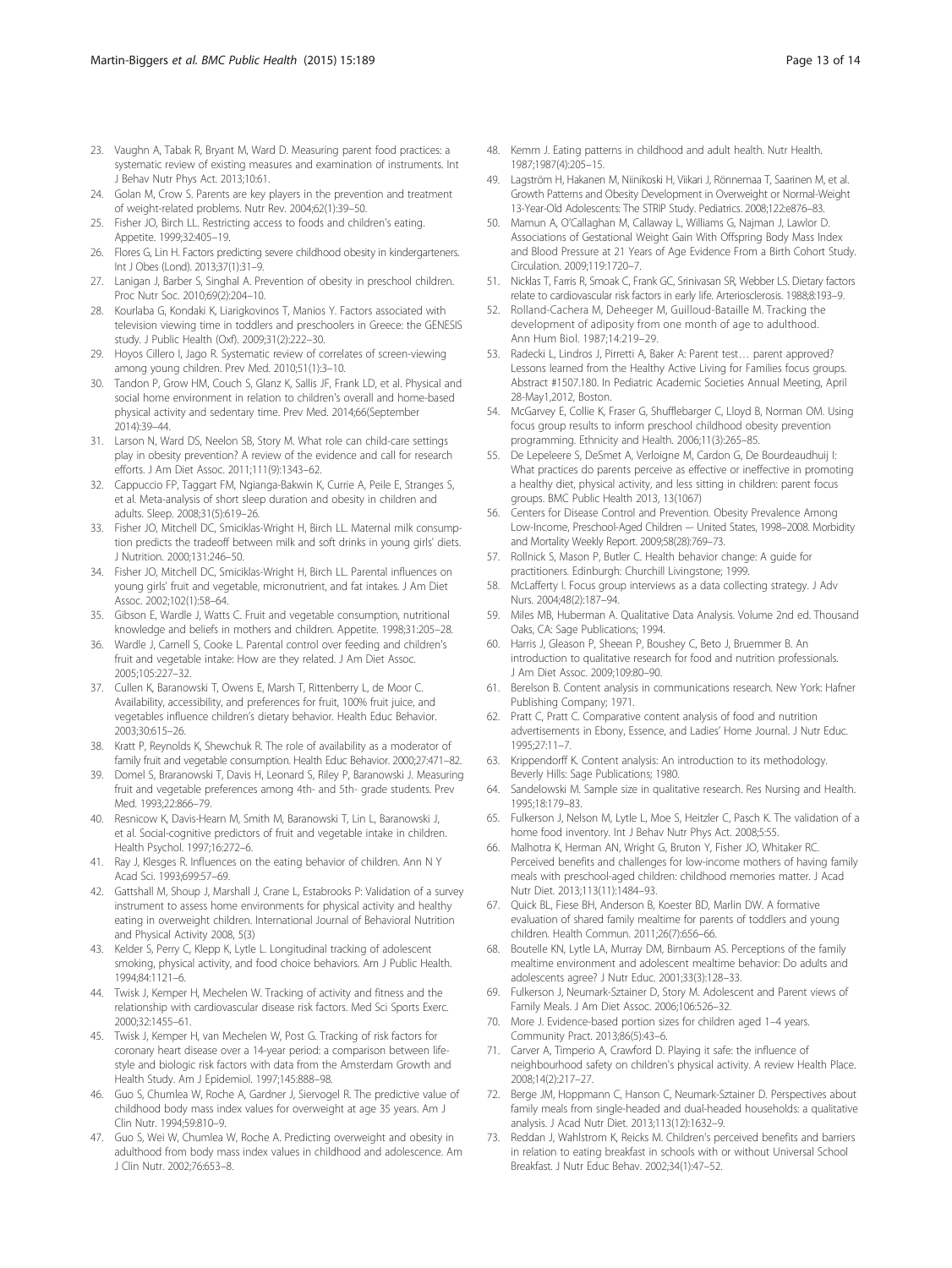- <span id="page-12-0"></span>23. Vaughn A, Tabak R, Bryant M, Ward D. Measuring parent food practices: a systematic review of existing measures and examination of instruments. Int J Behav Nutr Phys Act. 2013;10:61.
- 24. Golan M, Crow S. Parents are key players in the prevention and treatment of weight-related problems. Nutr Rev. 2004;62(1):39–50.
- 25. Fisher JO, Birch LL. Restricting access to foods and children's eating. Appetite. 1999;32:405–19.
- 26. Flores G, Lin H. Factors predicting severe childhood obesity in kindergarteners. Int J Obes (Lond). 2013;37(1):31–9.
- 27. Lanigan J, Barber S, Singhal A. Prevention of obesity in preschool children. Proc Nutr Soc. 2010;69(2):204–10.
- 28. Kourlaba G, Kondaki K, Liarigkovinos T, Manios Y. Factors associated with television viewing time in toddlers and preschoolers in Greece: the GENESIS study. J Public Health (Oxf). 2009;31(2):222–30.
- 29. Hoyos Cillero I, Jago R. Systematic review of correlates of screen-viewing among young children. Prev Med. 2010;51(1):3–10.
- 30. Tandon P, Grow HM, Couch S, Glanz K, Sallis JF, Frank LD, et al. Physical and social home environment in relation to children's overall and home-based physical activity and sedentary time. Prev Med. 2014;66(September 2014):39–44.
- 31. Larson N, Ward DS, Neelon SB, Story M. What role can child-care settings play in obesity prevention? A review of the evidence and call for research efforts. J Am Diet Assoc. 2011;111(9):1343–62.
- 32. Cappuccio FP, Taggart FM, Ngianga-Bakwin K, Currie A, Peile E, Stranges S, et al. Meta-analysis of short sleep duration and obesity in children and adults. Sleep. 2008;31(5):619–26.
- 33. Fisher JO, Mitchell DC, Smiciklas-Wright H, Birch LL. Maternal milk consumption predicts the tradeoff between milk and soft drinks in young girls' diets. J Nutrition. 2000;131:246–50.
- 34. Fisher JO, Mitchell DC, Smiciklas-Wright H, Birch LL. Parental influences on young girls' fruit and vegetable, micronutrient, and fat intakes. J Am Diet Assoc. 2002;102(1):58–64.
- 35. Gibson E, Wardle J, Watts C. Fruit and vegetable consumption, nutritional knowledge and beliefs in mothers and children. Appetite. 1998;31:205–28.
- 36. Wardle J, Carnell S, Cooke L. Parental control over feeding and children's fruit and vegetable intake: How are they related. J Am Diet Assoc. 2005;105:227–32.
- 37. Cullen K, Baranowski T, Owens E, Marsh T, Rittenberry L, de Moor C. Availability, accessibility, and preferences for fruit, 100% fruit juice, and vegetables influence children's dietary behavior. Health Educ Behavior. 2003;30:615–26.
- 38. Kratt P, Reynolds K, Shewchuk R. The role of availability as a moderator of family fruit and vegetable consumption. Health Educ Behavior. 2000;27:471–82.
- 39. Domel S, Braranowski T, Davis H, Leonard S, Riley P, Baranowski J. Measuring fruit and vegetable preferences among 4th- and 5th- grade students. Prev Med. 1993;22:866–79.
- 40. Resnicow K, Davis-Hearn M, Smith M, Baranowski T, Lin L, Baranowski J, et al. Social-cognitive predictors of fruit and vegetable intake in children. Health Psychol. 1997;16:272–6.
- 41. Ray J, Klesges R. Influences on the eating behavior of children. Ann N Y Acad Sci. 1993;699:57–69.
- 42. Gattshall M, Shoup J, Marshall J, Crane L, Estabrooks P: Validation of a survey instrument to assess home environments for physical activity and healthy eating in overweight children. International Journal of Behavioral Nutrition and Physical Activity 2008, 5(3)
- 43. Kelder S, Perry C, Klepp K, Lytle L. Longitudinal tracking of adolescent smoking, physical activity, and food choice behaviors. Am J Public Health. 1994;84:1121–6.
- 44. Twisk J, Kemper H, Mechelen W. Tracking of activity and fitness and the relationship with cardiovascular disease risk factors. Med Sci Sports Exerc. 2000;32:1455–61.
- 45. Twisk J, Kemper H, van Mechelen W, Post G. Tracking of risk factors for coronary heart disease over a 14-year period: a comparison between lifestyle and biologic risk factors with data from the Amsterdam Growth and Health Study. Am J Epidemiol. 1997;145:888–98.
- 46. Guo S, Chumlea W, Roche A, Gardner J, Siervogel R. The predictive value of childhood body mass index values for overweight at age 35 years. Am J Clin Nutr. 1994;59:810–9.
- 47. Guo S, Wei W, Chumlea W, Roche A. Predicting overweight and obesity in adulthood from body mass index values in childhood and adolescence. Am J Clin Nutr. 2002;76:653–8.
- 48. Kemm J. Eating patterns in childhood and adult health. Nutr Health. 1987;1987(4):205–15.
- 49. Lagström H, Hakanen M, Niinikoski H, Viikari J, Rönnemaa T, Saarinen M, et al. Growth Patterns and Obesity Development in Overweight or Normal-Weight 13-Year-Old Adolescents: The STRIP Study. Pediatrics. 2008;122:e876–83.
- 50. Mamun A, O'Callaghan M, Callaway L, Williams G, Najman J, Lawlor D. Associations of Gestational Weight Gain With Offspring Body Mass Index and Blood Pressure at 21 Years of Age Evidence From a Birth Cohort Study. Circulation. 2009;119:1720–7.
- 51. Nicklas T, Farris R, Smoak C, Frank GC, Srinivasan SR, Webber LS. Dietary factors relate to cardiovascular risk factors in early life. Arteriosclerosis. 1988;8:193–9.
- 52. Rolland-Cachera M, Deheeger M, Guilloud-Bataille M. Tracking the development of adiposity from one month of age to adulthood. Ann Hum Biol. 1987;14:219–29.
- 53. Radecki L, Lindros J, Pirretti A, Baker A: Parent test… parent approved? Lessons learned from the Healthy Active Living for Families focus groups. Abstract #1507.180. In Pediatric Academic Societies Annual Meeting, April 28-May1,2012, Boston.
- 54. McGarvey E, Collie K, Fraser G, Shufflebarger C, Lloyd B, Norman OM. Using focus group results to inform preschool childhood obesity prevention programming. Ethnicity and Health. 2006;11(3):265–85.
- De Lepeleere S, DeSmet A, Verloigne M, Cardon G, De Bourdeaudhuij I: What practices do parents perceive as effective or ineffective in promoting a healthy diet, physical activity, and less sitting in children: parent focus groups. BMC Public Health 2013, 13(1067)
- 56. Centers for Disease Control and Prevention. Obesity Prevalence Among Low-Income, Preschool-Aged Children -- United States, 1998-2008. Morbidity and Mortality Weekly Report. 2009;58(28):769–73.
- 57. Rollnick S, Mason P, Butler C. Health behavior change: A guide for practitioners. Edinburgh: Churchill Livingstone; 1999.
- 58. McLafferty I. Focus group interviews as a data collecting strategy. J Adv Nurs. 2004;48(2):187–94.
- 59. Miles MB, Huberman A. Qualitative Data Analysis. Volume 2nd ed. Thousand Oaks, CA: Sage Publications; 1994.
- 60. Harris J, Gleason P, Sheean P, Boushey C, Beto J, Bruemmer B. An introduction to qualitative research for food and nutrition professionals. J Am Diet Assoc. 2009;109:80–90.
- 61. Berelson B. Content analysis in communications research. New York: Hafner Publishing Company; 1971.
- 62. Pratt C, Pratt C. Comparative content analysis of food and nutrition advertisements in Ebony, Essence, and Ladies' Home Journal. J Nutr Educ. 1995;27:11–7.
- 63. Krippendorff K. Content analysis: An introduction to its methodology. Beverly Hills: Sage Publications; 1980.
- Sandelowski M. Sample size in qualitative research. Res Nursing and Health. 1995;18:179–83.
- Fulkerson J, Nelson M, Lytle L, Moe S, Heitzler C, Pasch K. The validation of a home food inventory. Int J Behav Nutr Phys Act. 2008;5:55.
- 66. Malhotra K, Herman AN, Wright G, Bruton Y, Fisher JO, Whitaker RC. Perceived benefits and challenges for low-income mothers of having family meals with preschool-aged children: childhood memories matter. J Acad Nutr Diet. 2013;113(11):1484–93.
- 67. Quick BL, Fiese BH, Anderson B, Koester BD, Marlin DW. A formative evaluation of shared family mealtime for parents of toddlers and young children. Health Commun. 2011;26(7):656–66.
- 68. Boutelle KN, Lytle LA, Murray DM, Birnbaum AS. Perceptions of the family mealtime environment and adolescent mealtime behavior: Do adults and adolescents agree? J Nutr Educ. 2001;33(3):128–33.
- 69. Fulkerson J, Neumark-Sztainer D, Story M. Adolescent and Parent views of Family Meals. J Am Diet Assoc. 2006;106:526–32.
- 70. More J. Evidence-based portion sizes for children aged 1–4 years. Community Pract. 2013;86(5):43–6.
- 71. Carver A, Timperio A, Crawford D. Playing it safe: the influence of neighbourhood safety on children's physical activity. A review Health Place. 2008;14(2):217–27.
- 72. Berge JM, Hoppmann C, Hanson C, Neumark-Sztainer D. Perspectives about family meals from single-headed and dual-headed households: a qualitative analysis. J Acad Nutr Diet. 2013;113(12):1632–9.
- 73. Reddan J, Wahlstrom K, Reicks M. Children's perceived benefits and barriers in relation to eating breakfast in schools with or without Universal School Breakfast. J Nutr Educ Behav. 2002;34(1):47–52.